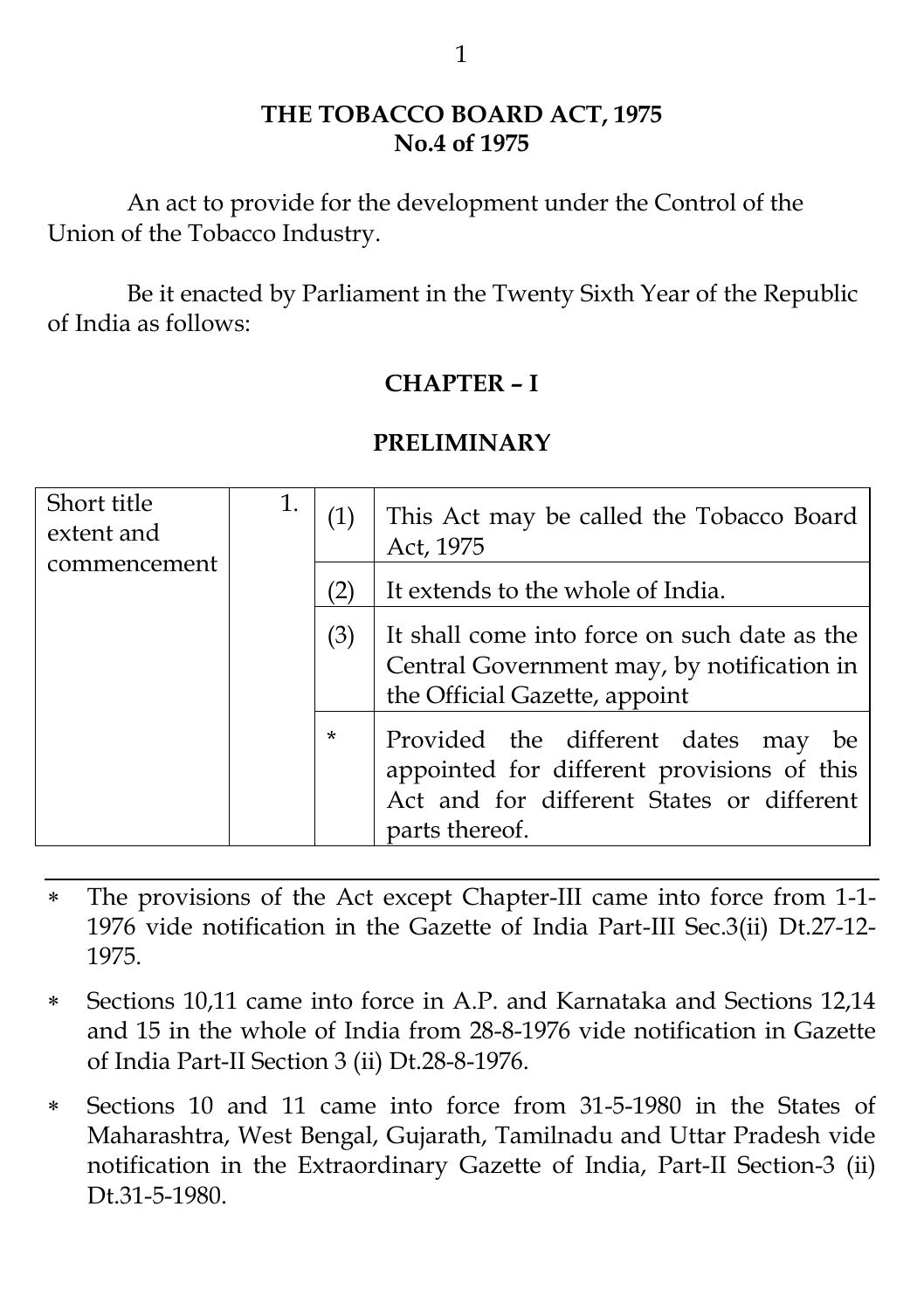#### **THE TOBACCO BOARD ACT, 1975 No.4 of 1975**

An act to provide for the development under the Control of the Union of the Tobacco Industry.

Be it enacted by Parliament in the Twenty Sixth Year of the Republic of India as follows:

#### **CHAPTER – I**

#### **PRELIMINARY**

| Short title<br>extent and | 1. | (1)    | This Act may be called the Tobacco Board<br>Act, 1975                                                                                               |
|---------------------------|----|--------|-----------------------------------------------------------------------------------------------------------------------------------------------------|
| commencement              |    |        | It extends to the whole of India.                                                                                                                   |
|                           |    | (3)    | It shall come into force on such date as the<br>Central Government may, by notification in<br>the Official Gazette, appoint                         |
|                           |    | $\ast$ | Provided the different dates may<br>be<br>appointed for different provisions of this<br>Act and for different States or different<br>parts thereof. |

- The provisions of the Act except Chapter-III came into force from 1-1- 1976 vide notification in the Gazette of India Part-III Sec.3(ii) Dt.27-12- 1975.
- Sections 10,11 came into force in A.P. and Karnataka and Sections 12,14 and 15 in the whole of India from 28-8-1976 vide notification in Gazette of India Part-II Section 3 (ii) Dt.28-8-1976.
- Sections 10 and 11 came into force from 31-5-1980 in the States of Maharashtra, West Bengal, Gujarath, Tamilnadu and Uttar Pradesh vide notification in the Extraordinary Gazette of India, Part-II Section-3 (ii) Dt.31-5-1980.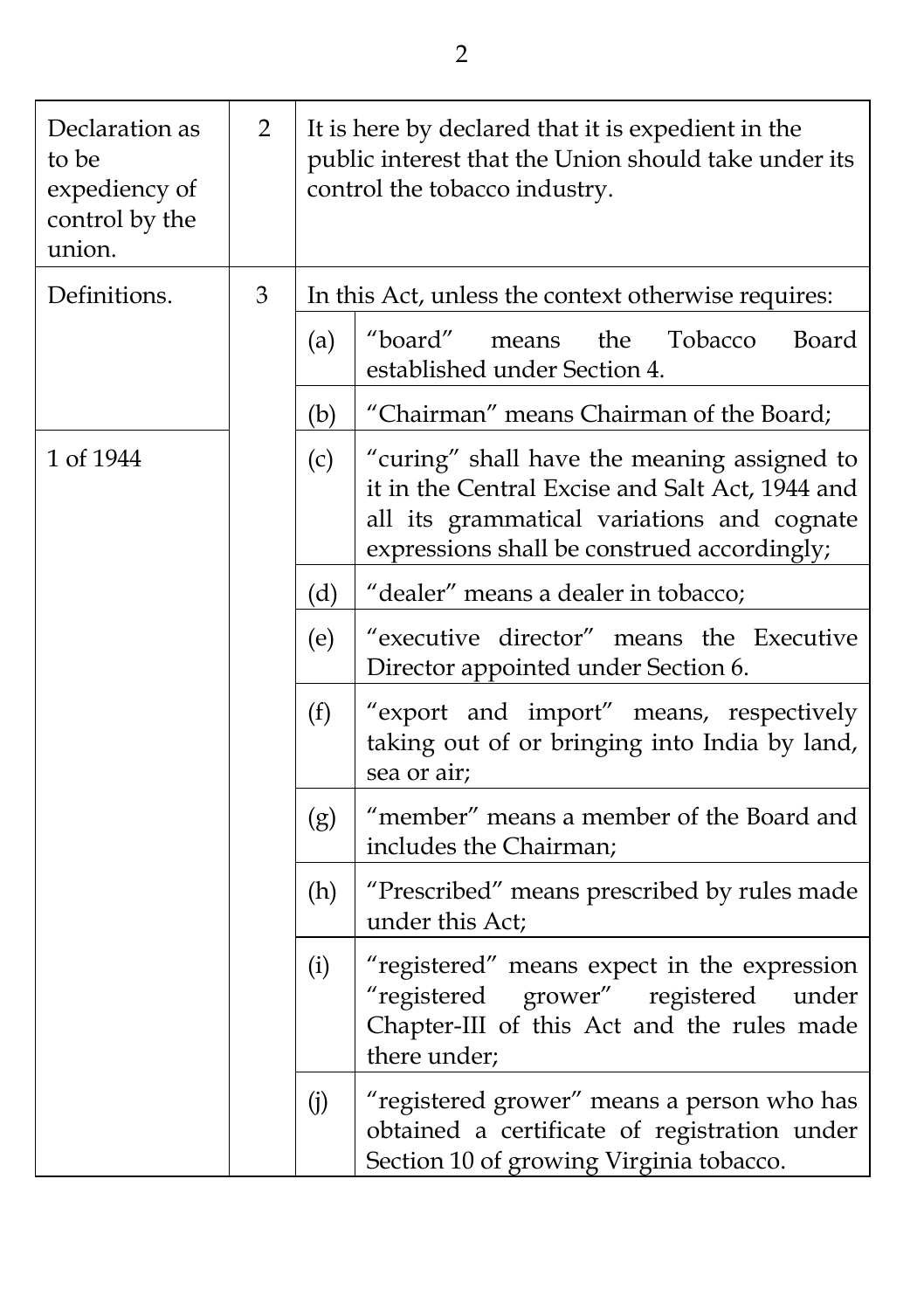| Declaration as<br>to be<br>expediency of<br>control by the<br>union. | $\overline{2}$ |     | It is here by declared that it is expedient in the<br>public interest that the Union should take under its<br>control the tobacco industry.                                                 |
|----------------------------------------------------------------------|----------------|-----|---------------------------------------------------------------------------------------------------------------------------------------------------------------------------------------------|
| Definitions.                                                         | 3              |     | In this Act, unless the context otherwise requires:                                                                                                                                         |
|                                                                      |                | (a) | "board"<br>the<br>Tobacco<br>Board<br>means<br>established under Section 4.                                                                                                                 |
|                                                                      |                | (b) | "Chairman" means Chairman of the Board;                                                                                                                                                     |
| 1 of 1944                                                            |                | (c) | "curing" shall have the meaning assigned to<br>it in the Central Excise and Salt Act, 1944 and<br>all its grammatical variations and cognate<br>expressions shall be construed accordingly; |
|                                                                      |                | (d) | "dealer" means a dealer in tobacco;                                                                                                                                                         |
|                                                                      |                | (e) | "executive director" means the Executive<br>Director appointed under Section 6.                                                                                                             |
|                                                                      |                | (f) | "export and import" means, respectively<br>taking out of or bringing into India by land,<br>sea or air;                                                                                     |
|                                                                      |                | (g) | "member" means a member of the Board and<br>includes the Chairman;                                                                                                                          |
|                                                                      |                | (h) | "Prescribed" means prescribed by rules made<br>under this Act;                                                                                                                              |
|                                                                      |                | (i) | "registered" means expect in the expression<br>"registered<br>grower" registered<br>under<br>Chapter-III of this Act and the rules made<br>there under;                                     |
|                                                                      |                | (j) | "registered grower" means a person who has<br>obtained a certificate of registration under<br>Section 10 of growing Virginia tobacco.                                                       |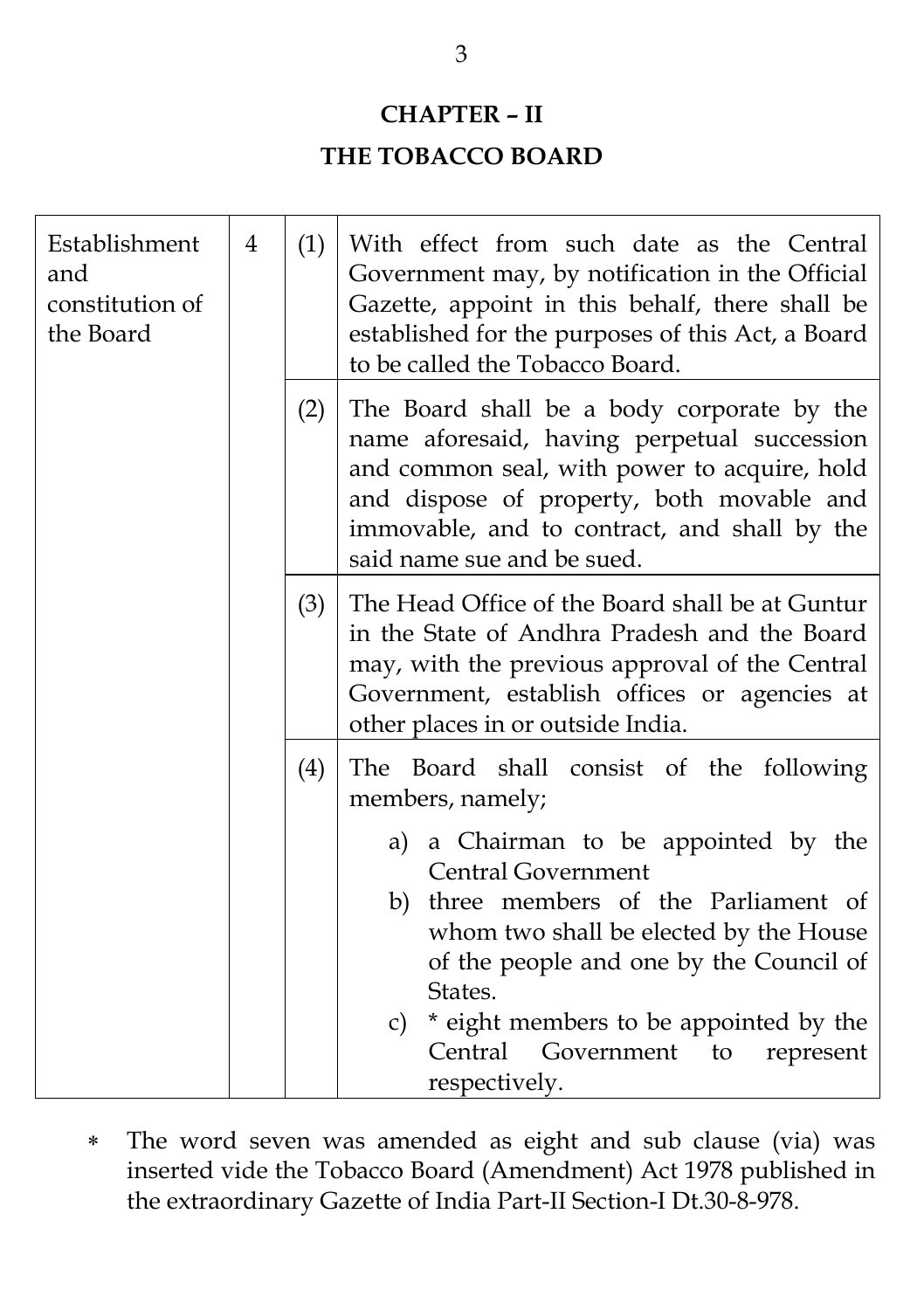### **CHAPTER – II**

### **THE TOBACCO BOARD**

| Establishment<br>and<br>constitution of<br>the Board | $\overline{4}$ | (1) | With effect from such date as the Central<br>Government may, by notification in the Official<br>Gazette, appoint in this behalf, there shall be<br>established for the purposes of this Act, a Board<br>to be called the Tobacco Board.                                                                                                                                           |
|------------------------------------------------------|----------------|-----|-----------------------------------------------------------------------------------------------------------------------------------------------------------------------------------------------------------------------------------------------------------------------------------------------------------------------------------------------------------------------------------|
|                                                      |                | (2) | The Board shall be a body corporate by the<br>name aforesaid, having perpetual succession<br>and common seal, with power to acquire, hold<br>and dispose of property, both movable and<br>immovable, and to contract, and shall by the<br>said name sue and be sued.                                                                                                              |
|                                                      |                | (3) | The Head Office of the Board shall be at Guntur<br>in the State of Andhra Pradesh and the Board<br>may, with the previous approval of the Central<br>Government, establish offices or agencies at<br>other places in or outside India.                                                                                                                                            |
|                                                      |                | (4) | The Board shall consist of the following<br>members, namely;<br>a) a Chairman to be appointed by the<br><b>Central Government</b><br>b) three members of the Parliament of<br>whom two shall be elected by the House<br>of the people and one by the Council of<br>States.<br>* eight members to be appointed by the<br>c)<br>Central Government to<br>represent<br>respectively. |

 The word seven was amended as eight and sub clause (via) was inserted vide the Tobacco Board (Amendment) Act 1978 published in the extraordinary Gazette of India Part-II Section-I Dt.30-8-978.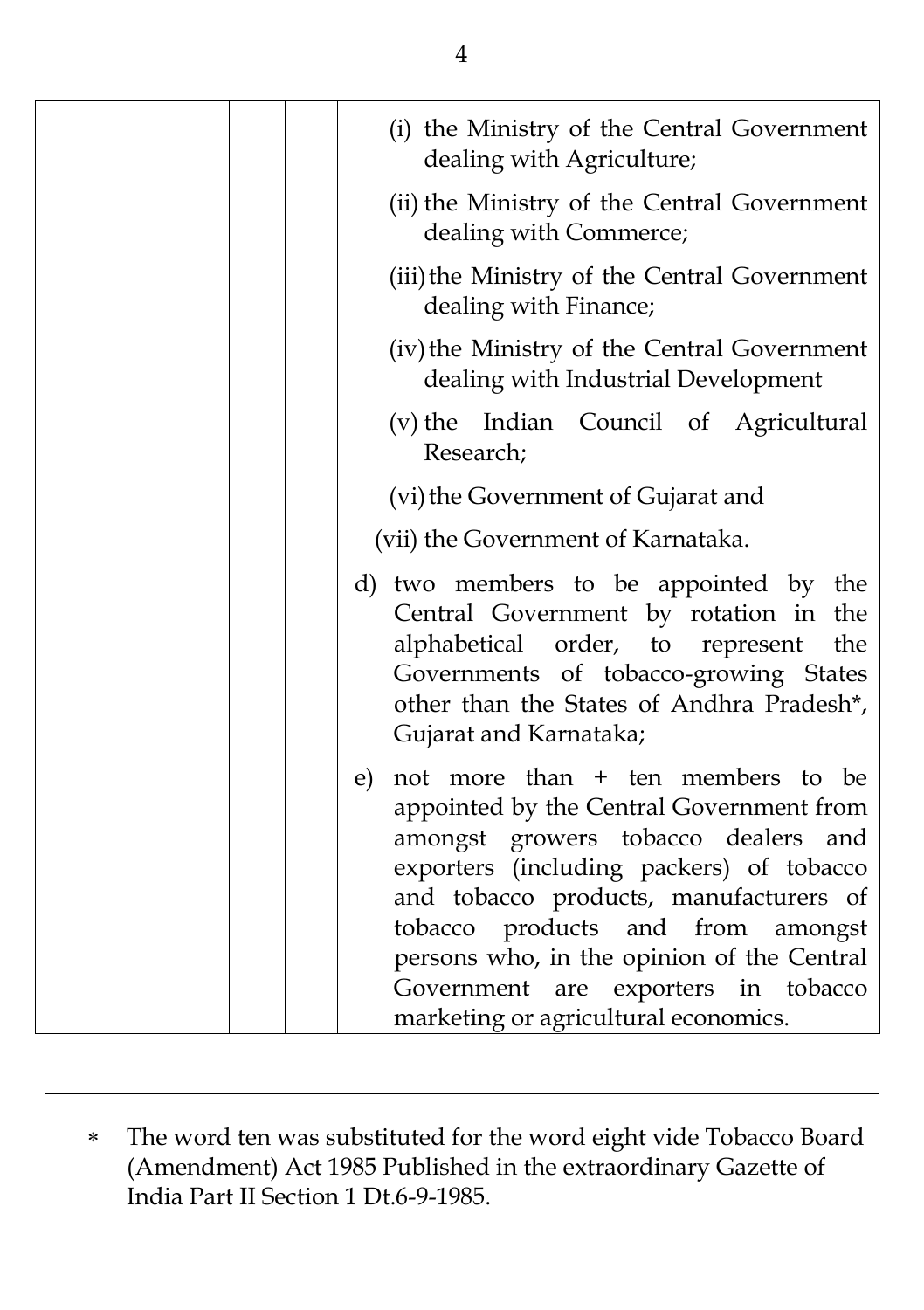| (i) the Ministry of the Central Government<br>dealing with Agriculture;                                                                                                                                                                                                                                                                                                               |
|---------------------------------------------------------------------------------------------------------------------------------------------------------------------------------------------------------------------------------------------------------------------------------------------------------------------------------------------------------------------------------------|
| (ii) the Ministry of the Central Government<br>dealing with Commerce;                                                                                                                                                                                                                                                                                                                 |
| (iii) the Ministry of the Central Government<br>dealing with Finance;                                                                                                                                                                                                                                                                                                                 |
| (iv) the Ministry of the Central Government<br>dealing with Industrial Development                                                                                                                                                                                                                                                                                                    |
| (v) the Indian Council of Agricultural<br>Research;                                                                                                                                                                                                                                                                                                                                   |
| (vi) the Government of Gujarat and                                                                                                                                                                                                                                                                                                                                                    |
| (vii) the Government of Karnataka.                                                                                                                                                                                                                                                                                                                                                    |
| d) two members to be appointed by the<br>Central Government by rotation in the<br>alphabetical order, to represent<br>the<br>Governments of tobacco-growing States<br>other than the States of Andhra Pradesh*,<br>Gujarat and Karnataka;                                                                                                                                             |
| not more than + ten members to be<br>e)<br>appointed by the Central Government from<br>amongst growers tobacco dealers and<br>exporters (including packers) of tobacco<br>and tobacco products, manufacturers of<br>tobacco products and from<br>amongst<br>persons who, in the opinion of the Central<br>Government are exporters in tobacco<br>marketing or agricultural economics. |

 The word ten was substituted for the word eight vide Tobacco Board (Amendment) Act 1985 Published in the extraordinary Gazette of India Part II Section 1 Dt.6-9-1985.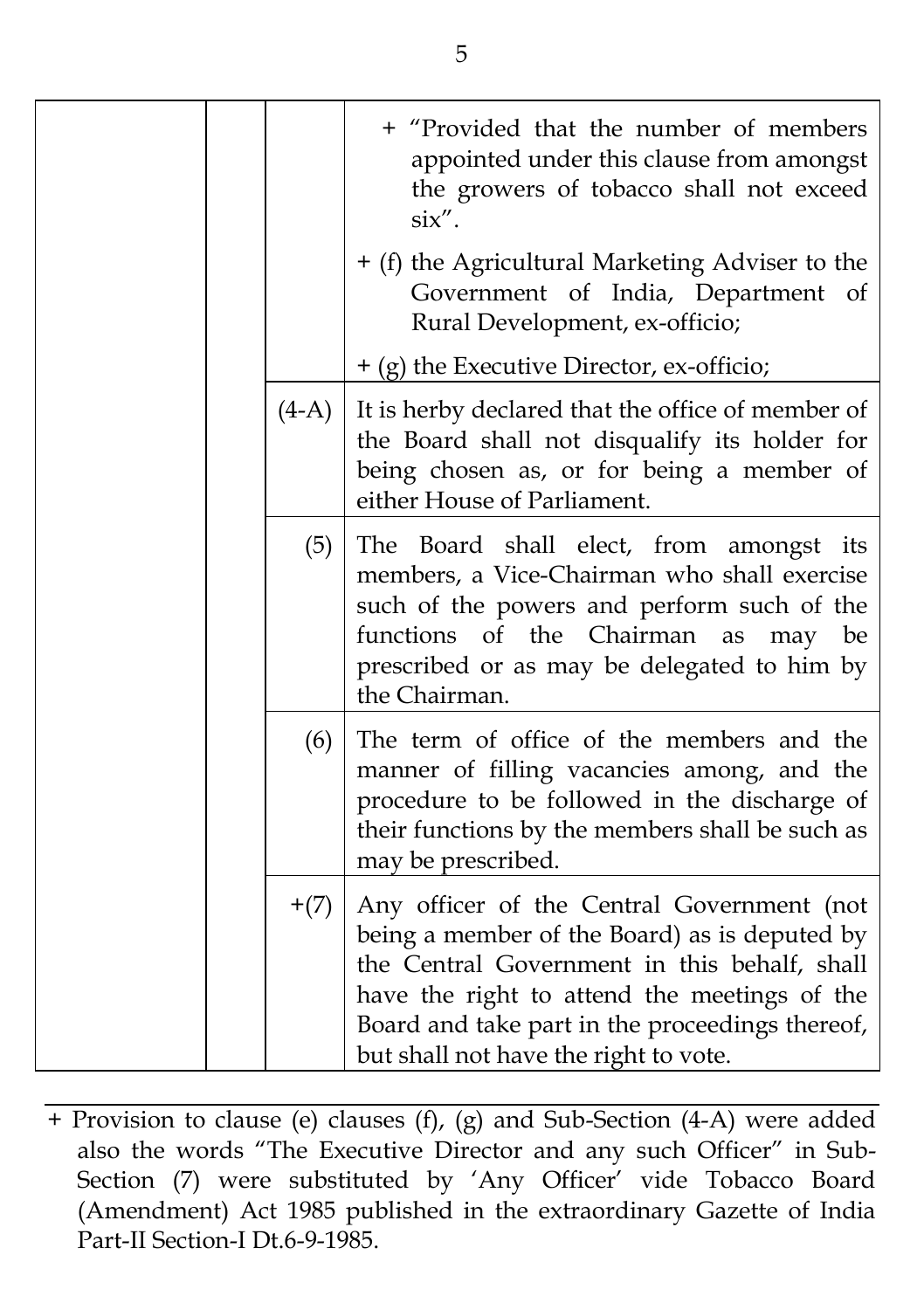|         | + "Provided that the number of members<br>appointed under this clause from amongst<br>the growers of tobacco shall not exceed<br>$\sin$ ".                                                                                                                                              |
|---------|-----------------------------------------------------------------------------------------------------------------------------------------------------------------------------------------------------------------------------------------------------------------------------------------|
|         | + (f) the Agricultural Marketing Adviser to the<br>Government of India, Department of<br>Rural Development, ex-officio;                                                                                                                                                                 |
|         | + (g) the Executive Director, ex-officio;                                                                                                                                                                                                                                               |
| $(4-A)$ | It is herby declared that the office of member of<br>the Board shall not disqualify its holder for<br>being chosen as, or for being a member of<br>either House of Parliament.                                                                                                          |
| (5)     | The Board shall elect, from amongst its<br>members, a Vice-Chairman who shall exercise<br>such of the powers and perform such of the<br>functions of the Chairman<br>as<br>may be<br>prescribed or as may be delegated to him by<br>the Chairman.                                       |
| (6)     | The term of office of the members and the<br>manner of filling vacancies among, and the<br>procedure to be followed in the discharge of<br>their functions by the members shall be such as<br>may be prescribed.                                                                        |
| $+(7)$  | Any officer of the Central Government (not<br>being a member of the Board) as is deputed by<br>the Central Government in this behalf, shall<br>have the right to attend the meetings of the<br>Board and take part in the proceedings thereof,<br>but shall not have the right to vote. |

+ Provision to clause (e) clauses (f), (g) and Sub-Section (4-A) were added also the words "The Executive Director and any such Officer" in Sub-Section (7) were substituted by 'Any Officer' vide Tobacco Board (Amendment) Act 1985 published in the extraordinary Gazette of India Part-II Section-I Dt.6-9-1985.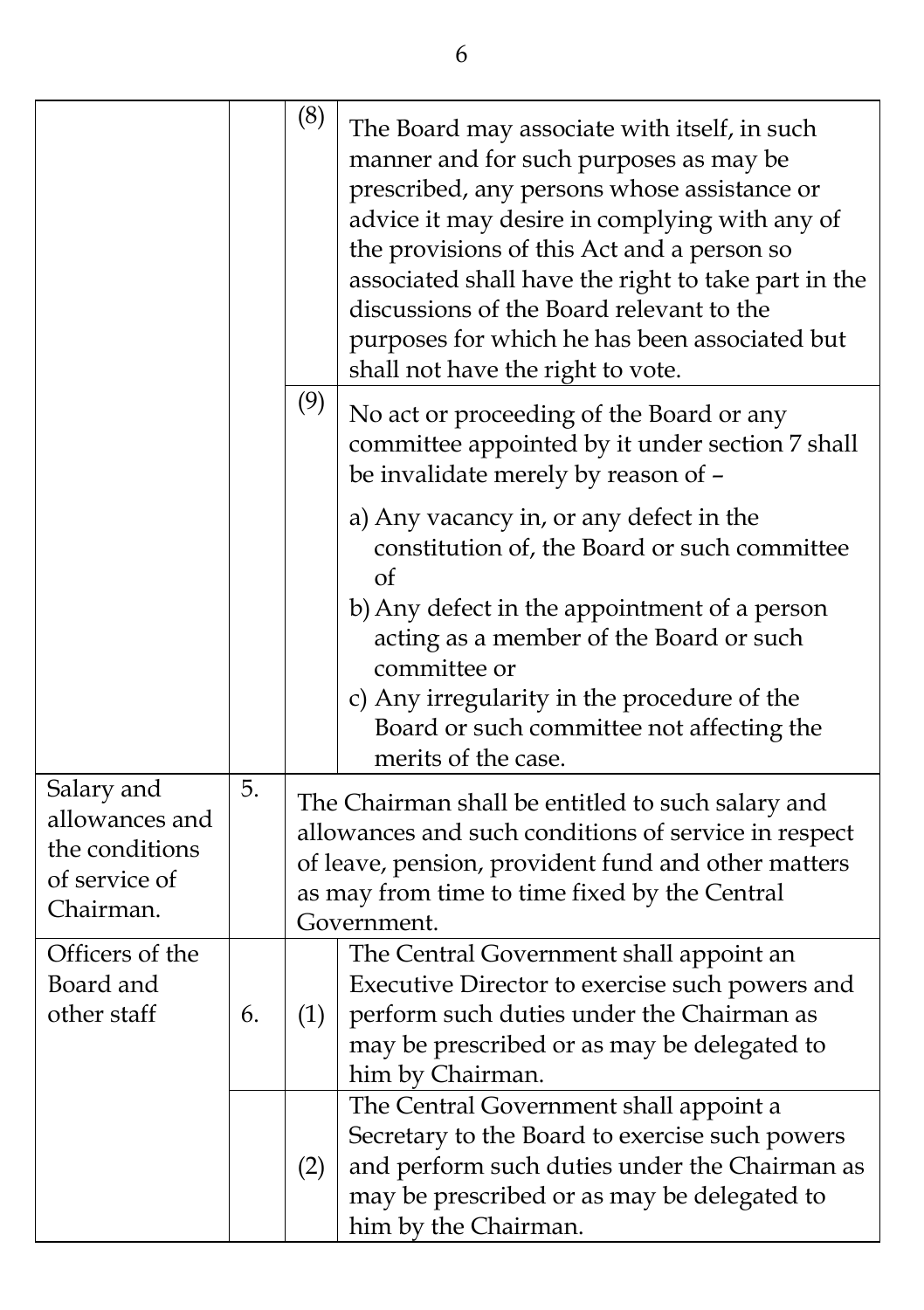|                                                                              |    | (8) | The Board may associate with itself, in such<br>manner and for such purposes as may be<br>prescribed, any persons whose assistance or<br>advice it may desire in complying with any of<br>the provisions of this Act and a person so<br>associated shall have the right to take part in the<br>discussions of the Board relevant to the<br>purposes for which he has been associated but<br>shall not have the right to vote. |
|------------------------------------------------------------------------------|----|-----|-------------------------------------------------------------------------------------------------------------------------------------------------------------------------------------------------------------------------------------------------------------------------------------------------------------------------------------------------------------------------------------------------------------------------------|
|                                                                              |    | (9) | No act or proceeding of the Board or any<br>committee appointed by it under section 7 shall<br>be invalidate merely by reason of -                                                                                                                                                                                                                                                                                            |
|                                                                              |    |     | a) Any vacancy in, or any defect in the<br>constitution of, the Board or such committee<br>οf<br>b) Any defect in the appointment of a person<br>acting as a member of the Board or such<br>committee or<br>c) Any irregularity in the procedure of the<br>Board or such committee not affecting the<br>merits of the case.                                                                                                   |
| Salary and<br>allowances and<br>the conditions<br>of service of<br>Chairman. | 5. |     | The Chairman shall be entitled to such salary and<br>allowances and such conditions of service in respect<br>of leave, pension, provident fund and other matters<br>as may from time to time fixed by the Central<br>Government.                                                                                                                                                                                              |
| Officers of the<br>Board and<br>other staff                                  | 6. | (1) | The Central Government shall appoint an<br>Executive Director to exercise such powers and<br>perform such duties under the Chairman as<br>may be prescribed or as may be delegated to<br>him by Chairman.                                                                                                                                                                                                                     |
|                                                                              |    | (2) | The Central Government shall appoint a<br>Secretary to the Board to exercise such powers<br>and perform such duties under the Chairman as<br>may be prescribed or as may be delegated to<br>him by the Chairman.                                                                                                                                                                                                              |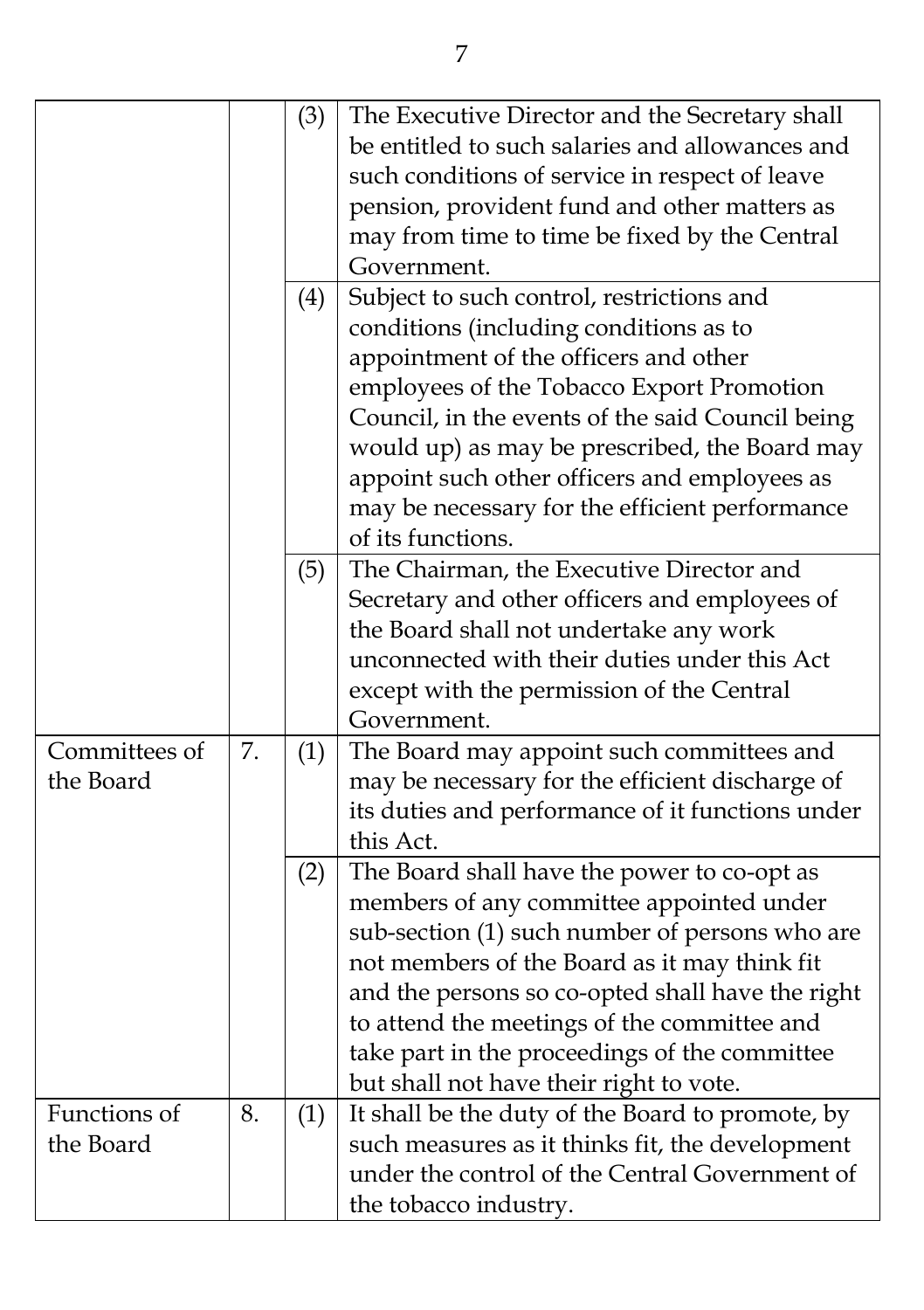|                            |    | (3) | The Executive Director and the Secretary shall<br>be entitled to such salaries and allowances and<br>such conditions of service in respect of leave<br>pension, provident fund and other matters as<br>may from time to time be fixed by the Central<br>Government.                                                                                                                      |
|----------------------------|----|-----|------------------------------------------------------------------------------------------------------------------------------------------------------------------------------------------------------------------------------------------------------------------------------------------------------------------------------------------------------------------------------------------|
|                            |    | (4) | Subject to such control, restrictions and<br>conditions (including conditions as to<br>appointment of the officers and other<br>employees of the Tobacco Export Promotion<br>Council, in the events of the said Council being<br>would up) as may be prescribed, the Board may<br>appoint such other officers and employees as                                                           |
|                            |    |     | may be necessary for the efficient performance<br>of its functions.                                                                                                                                                                                                                                                                                                                      |
|                            |    | (5) | The Chairman, the Executive Director and<br>Secretary and other officers and employees of<br>the Board shall not undertake any work<br>unconnected with their duties under this Act<br>except with the permission of the Central<br>Government.                                                                                                                                          |
| Committees of<br>the Board | 7. | (1) | The Board may appoint such committees and<br>may be necessary for the efficient discharge of<br>its duties and performance of it functions under<br>this Act.                                                                                                                                                                                                                            |
|                            |    | (2) | The Board shall have the power to co-opt as<br>members of any committee appointed under<br>sub-section (1) such number of persons who are<br>not members of the Board as it may think fit<br>and the persons so co-opted shall have the right<br>to attend the meetings of the committee and<br>take part in the proceedings of the committee<br>but shall not have their right to vote. |
| Functions of<br>the Board  | 8. | (1) | It shall be the duty of the Board to promote, by<br>such measures as it thinks fit, the development<br>under the control of the Central Government of<br>the tobacco industry.                                                                                                                                                                                                           |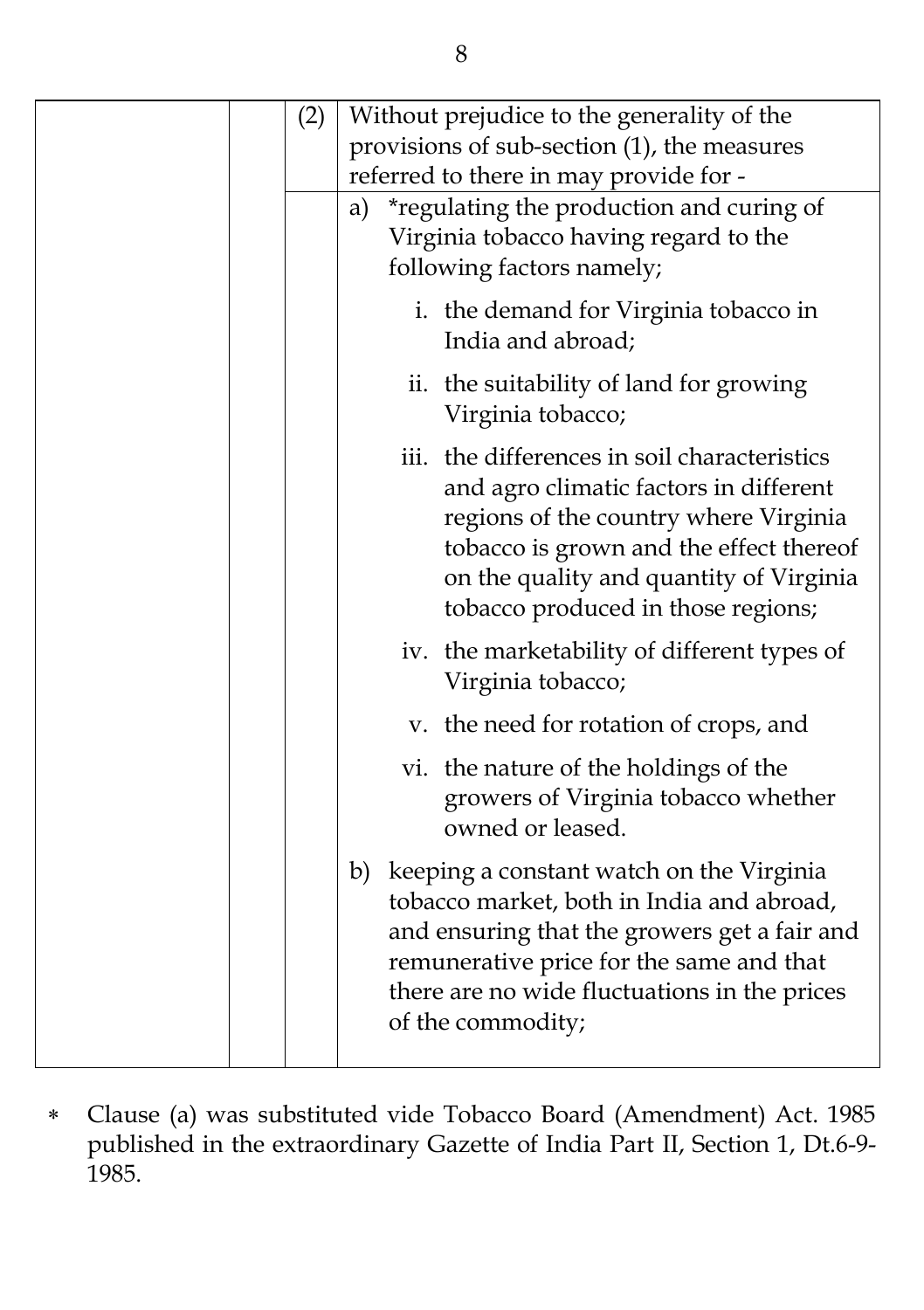|  | (2) | Without prejudice to the generality of the<br>provisions of sub-section (1), the measures<br>referred to there in may provide for -                                                                                                                         |
|--|-----|-------------------------------------------------------------------------------------------------------------------------------------------------------------------------------------------------------------------------------------------------------------|
|  |     | *regulating the production and curing of<br>a)<br>Virginia tobacco having regard to the<br>following factors namely;                                                                                                                                        |
|  |     | i. the demand for Virginia tobacco in<br>India and abroad;                                                                                                                                                                                                  |
|  |     | ii. the suitability of land for growing<br>Virginia tobacco;                                                                                                                                                                                                |
|  |     | iii. the differences in soil characteristics<br>and agro climatic factors in different<br>regions of the country where Virginia<br>tobacco is grown and the effect thereof<br>on the quality and quantity of Virginia<br>tobacco produced in those regions; |
|  |     | iv. the marketability of different types of<br>Virginia tobacco;                                                                                                                                                                                            |
|  |     | v. the need for rotation of crops, and                                                                                                                                                                                                                      |
|  |     | vi. the nature of the holdings of the<br>growers of Virginia tobacco whether<br>owned or leased.                                                                                                                                                            |
|  |     | b) keeping a constant watch on the Virginia<br>tobacco market, both in India and abroad,<br>and ensuring that the growers get a fair and<br>remunerative price for the same and that<br>there are no wide fluctuations in the prices<br>of the commodity;   |

 Clause (a) was substituted vide Tobacco Board (Amendment) Act. 1985 published in the extraordinary Gazette of India Part II, Section 1, Dt.6-9- 1985.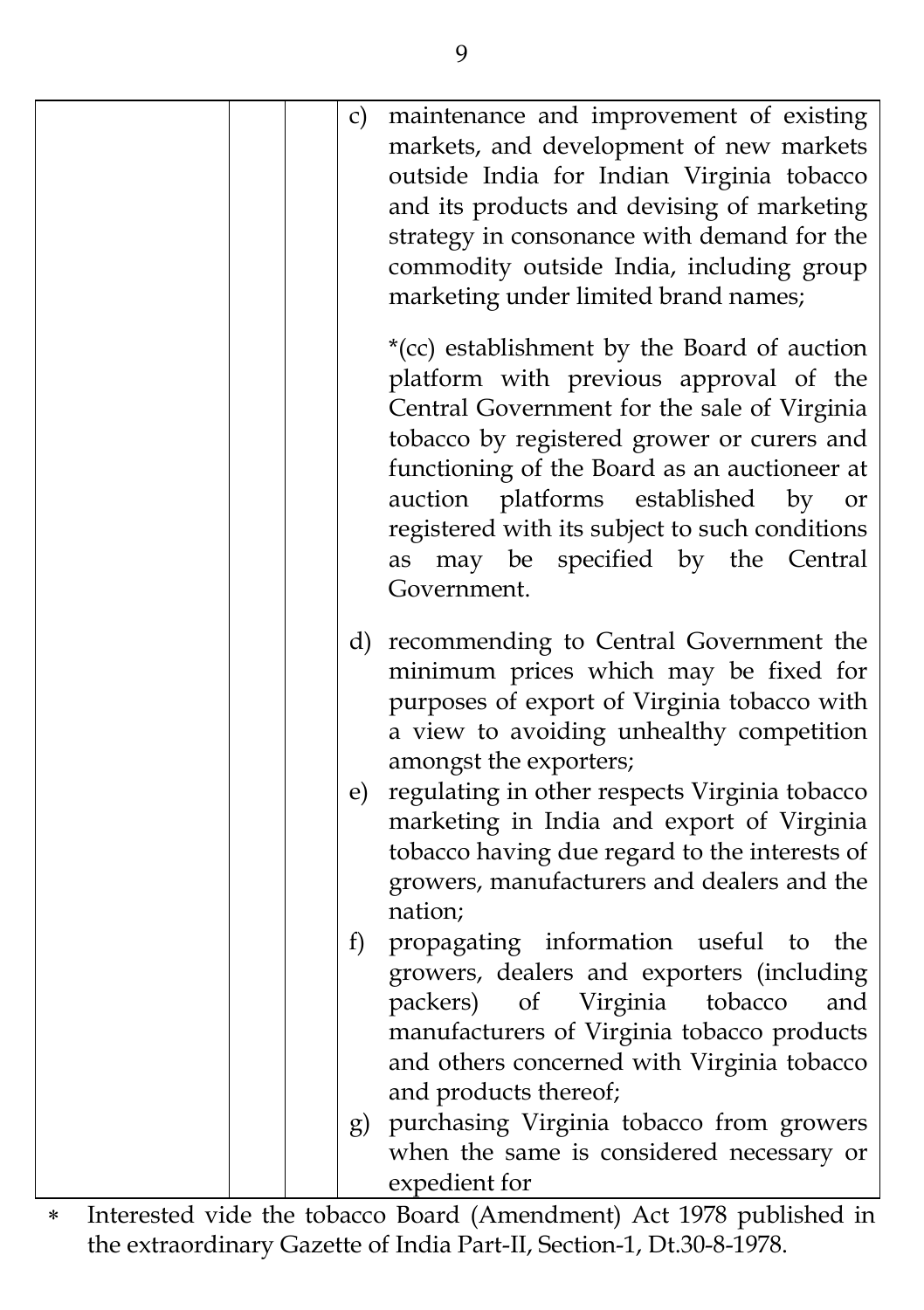|  | c)           | maintenance and improvement of existing<br>markets, and development of new markets<br>outside India for Indian Virginia tobacco<br>and its products and devising of marketing<br>strategy in consonance with demand for the<br>commodity outside India, including group<br>marketing under limited brand names;                                                                              |
|--|--------------|----------------------------------------------------------------------------------------------------------------------------------------------------------------------------------------------------------------------------------------------------------------------------------------------------------------------------------------------------------------------------------------------|
|  |              | *(cc) establishment by the Board of auction<br>platform with previous approval of the<br>Central Government for the sale of Virginia<br>tobacco by registered grower or curers and<br>functioning of the Board as an auctioneer at<br>platforms<br>auction<br>established<br>by<br>or<br>registered with its subject to such conditions<br>as may be specified by the Central<br>Government. |
|  |              | d) recommending to Central Government the<br>minimum prices which may be fixed for<br>purposes of export of Virginia tobacco with<br>a view to avoiding unhealthy competition<br>amongst the exporters;                                                                                                                                                                                      |
|  | $\epsilon$ ) | regulating in other respects Virginia tobacco<br>marketing in India and export of Virginia<br>tobacco having due regard to the interests of<br>growers, manufacturers and dealers and the<br>nation;                                                                                                                                                                                         |
|  | f            | propagating information useful to<br>the<br>growers, dealers and exporters (including<br>Virginia<br>tobacco<br>packers)<br>of<br>and<br>manufacturers of Virginia tobacco products<br>and others concerned with Virginia tobacco<br>and products thereof;                                                                                                                                   |
|  |              | g) purchasing Virginia tobacco from growers<br>when the same is considered necessary or<br>expedient for                                                                                                                                                                                                                                                                                     |

\* Interested vide the tobacco Board (Amendment) Act 1978 published in the extraordinary Gazette of India Part-II, Section-1, Dt.30-8-1978.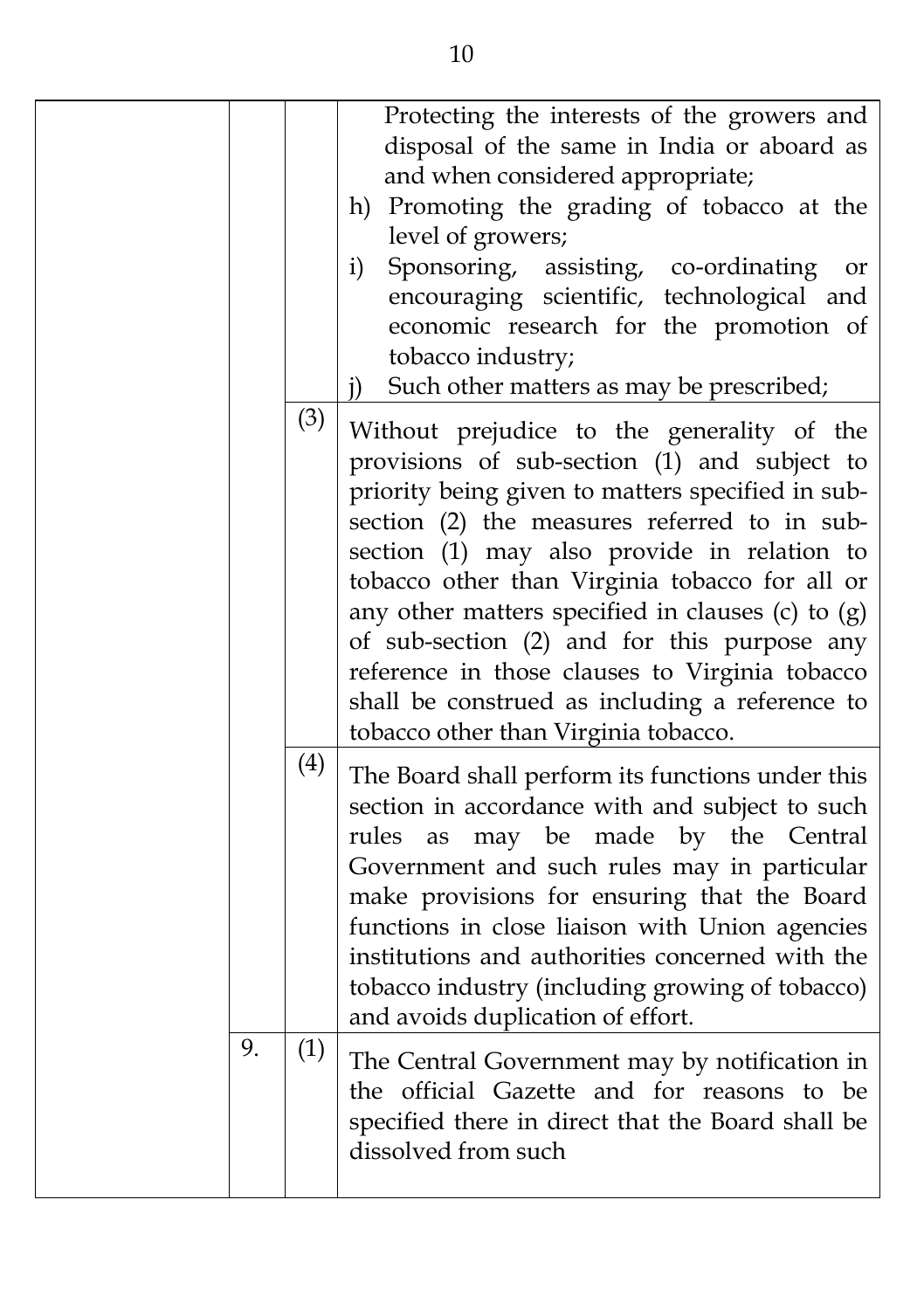|    |     | Protecting the interests of the growers and<br>disposal of the same in India or aboard as<br>and when considered appropriate;<br>h) Promoting the grading of tobacco at the<br>level of growers;<br>Sponsoring, assisting, co-ordinating<br>i)<br>or<br>encouraging scientific, technological and<br>economic research for the promotion of<br>tobacco industry;<br>Such other matters as may be prescribed;<br>$\mathbf{j}$                                                                                                                       |
|----|-----|----------------------------------------------------------------------------------------------------------------------------------------------------------------------------------------------------------------------------------------------------------------------------------------------------------------------------------------------------------------------------------------------------------------------------------------------------------------------------------------------------------------------------------------------------|
|    | (3) | Without prejudice to the generality of the<br>provisions of sub-section (1) and subject to<br>priority being given to matters specified in sub-<br>section (2) the measures referred to in sub-<br>section (1) may also provide in relation to<br>tobacco other than Virginia tobacco for all or<br>any other matters specified in clauses (c) to $(g)$<br>of sub-section (2) and for this purpose any<br>reference in those clauses to Virginia tobacco<br>shall be construed as including a reference to<br>tobacco other than Virginia tobacco. |
|    | (4) | The Board shall perform its functions under this<br>section in accordance with and subject to such<br>may be made by the Central<br>rules as<br>Government and such rules may in particular<br>make provisions for ensuring that the Board<br>functions in close liaison with Union agencies<br>institutions and authorities concerned with the<br>tobacco industry (including growing of tobacco)<br>and avoids duplication of effort.                                                                                                            |
| 9. | (1) | The Central Government may by notification in<br>the official Gazette and for reasons to be<br>specified there in direct that the Board shall be<br>dissolved from such                                                                                                                                                                                                                                                                                                                                                                            |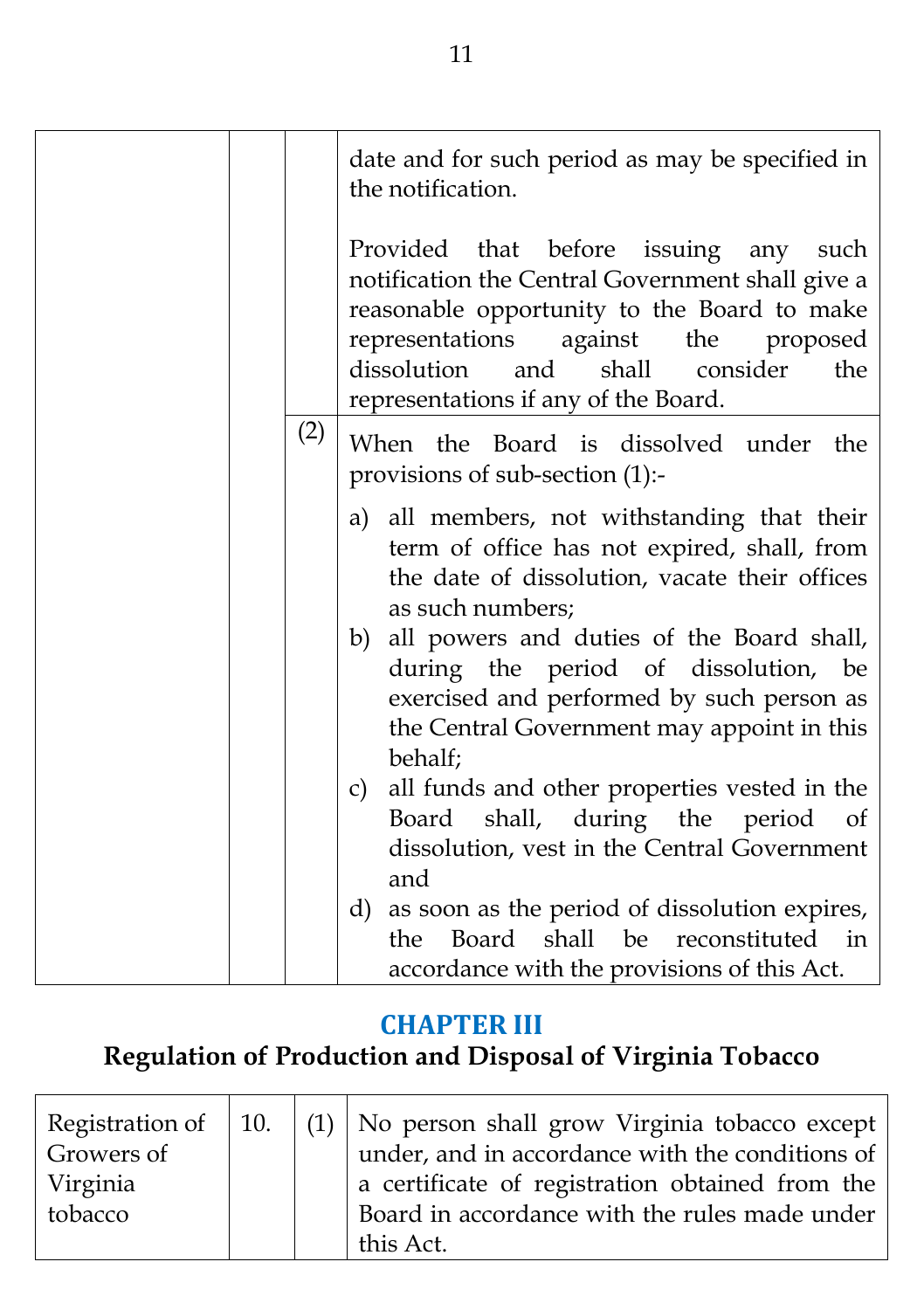|     | date and for such period as may be specified in<br>the notification.                                                                                                                                                                                                          |
|-----|-------------------------------------------------------------------------------------------------------------------------------------------------------------------------------------------------------------------------------------------------------------------------------|
|     | Provided that before issuing any such<br>notification the Central Government shall give a<br>reasonable opportunity to the Board to make<br>representations<br>against the proposed<br>and<br>shall<br>dissolution<br>consider<br>the<br>representations if any of the Board. |
| (2) | When the Board is dissolved under<br>the<br>provisions of sub-section (1):-                                                                                                                                                                                                   |
|     | a) all members, not withstanding that their<br>term of office has not expired, shall, from<br>the date of dissolution, vacate their offices<br>as such numbers;<br>b) all powers and duties of the Board shall,                                                               |
|     | during the period of dissolution, be<br>exercised and performed by such person as<br>the Central Government may appoint in this<br>behalf;                                                                                                                                    |
|     | c) all funds and other properties vested in the<br>shall, during the period of<br>Board<br>dissolution, vest in the Central Government<br>and                                                                                                                                 |
|     | d) as soon as the period of dissolution expires,<br>Board<br>shall be reconstituted in<br>the<br>accordance with the provisions of this Act.                                                                                                                                  |

## **CHAPTER III**

# **Regulation of Production and Disposal of Virginia Tobacco**

| Growers of      |  | Registration of   10.   (1)   No person shall grow Virginia tobacco except  <br>under, and in accordance with the conditions of |
|-----------------|--|---------------------------------------------------------------------------------------------------------------------------------|
| <b>Virginia</b> |  | a certificate of registration obtained from the                                                                                 |
| tobacco         |  | Board in accordance with the rules made under                                                                                   |
|                 |  | this Act.                                                                                                                       |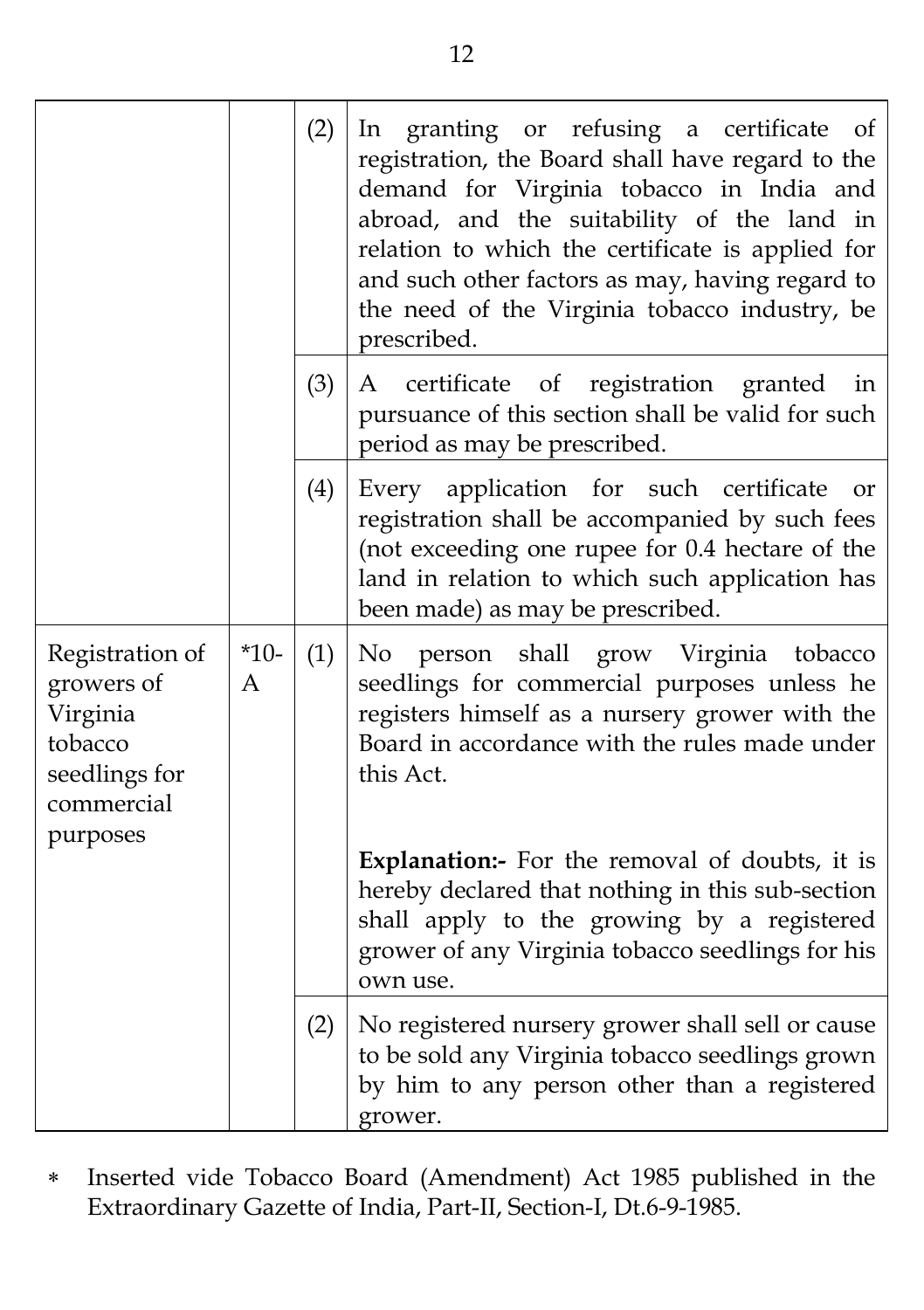|                                                                                                 |                          | (2) | In granting or refusing a certificate<br>of<br>registration, the Board shall have regard to the<br>demand for Virginia tobacco in India and<br>abroad, and the suitability of the land in<br>relation to which the certificate is applied for<br>and such other factors as may, having regard to<br>the need of the Virginia tobacco industry, be<br>prescribed.                                                          |
|-------------------------------------------------------------------------------------------------|--------------------------|-----|---------------------------------------------------------------------------------------------------------------------------------------------------------------------------------------------------------------------------------------------------------------------------------------------------------------------------------------------------------------------------------------------------------------------------|
|                                                                                                 |                          | (3) | A certificate of registration granted<br>in<br>pursuance of this section shall be valid for such<br>period as may be prescribed.                                                                                                                                                                                                                                                                                          |
|                                                                                                 |                          | (4) | Every application for such certificate<br>or<br>registration shall be accompanied by such fees<br>(not exceeding one rupee for 0.4 hectare of the<br>land in relation to which such application has<br>been made) as may be prescribed.                                                                                                                                                                                   |
| Registration of<br>growers of<br>Virginia<br>tobacco<br>seedlings for<br>commercial<br>purposes | $*10-$<br>$\overline{A}$ | (1) | No<br>person shall grow Virginia<br>tobacco<br>seedlings for commercial purposes unless he<br>registers himself as a nursery grower with the<br>Board in accordance with the rules made under<br>this Act.<br><b>Explanation:-</b> For the removal of doubts, it is<br>hereby declared that nothing in this sub-section<br>shall apply to the growing by a registered<br>grower of any Virginia tobacco seedlings for his |
|                                                                                                 |                          |     | own use.                                                                                                                                                                                                                                                                                                                                                                                                                  |
|                                                                                                 |                          | (2) | No registered nursery grower shall sell or cause<br>to be sold any Virginia tobacco seedlings grown<br>by him to any person other than a registered<br>grower.                                                                                                                                                                                                                                                            |

 Inserted vide Tobacco Board (Amendment) Act 1985 published in the Extraordinary Gazette of India, Part-II, Section-I, Dt.6-9-1985.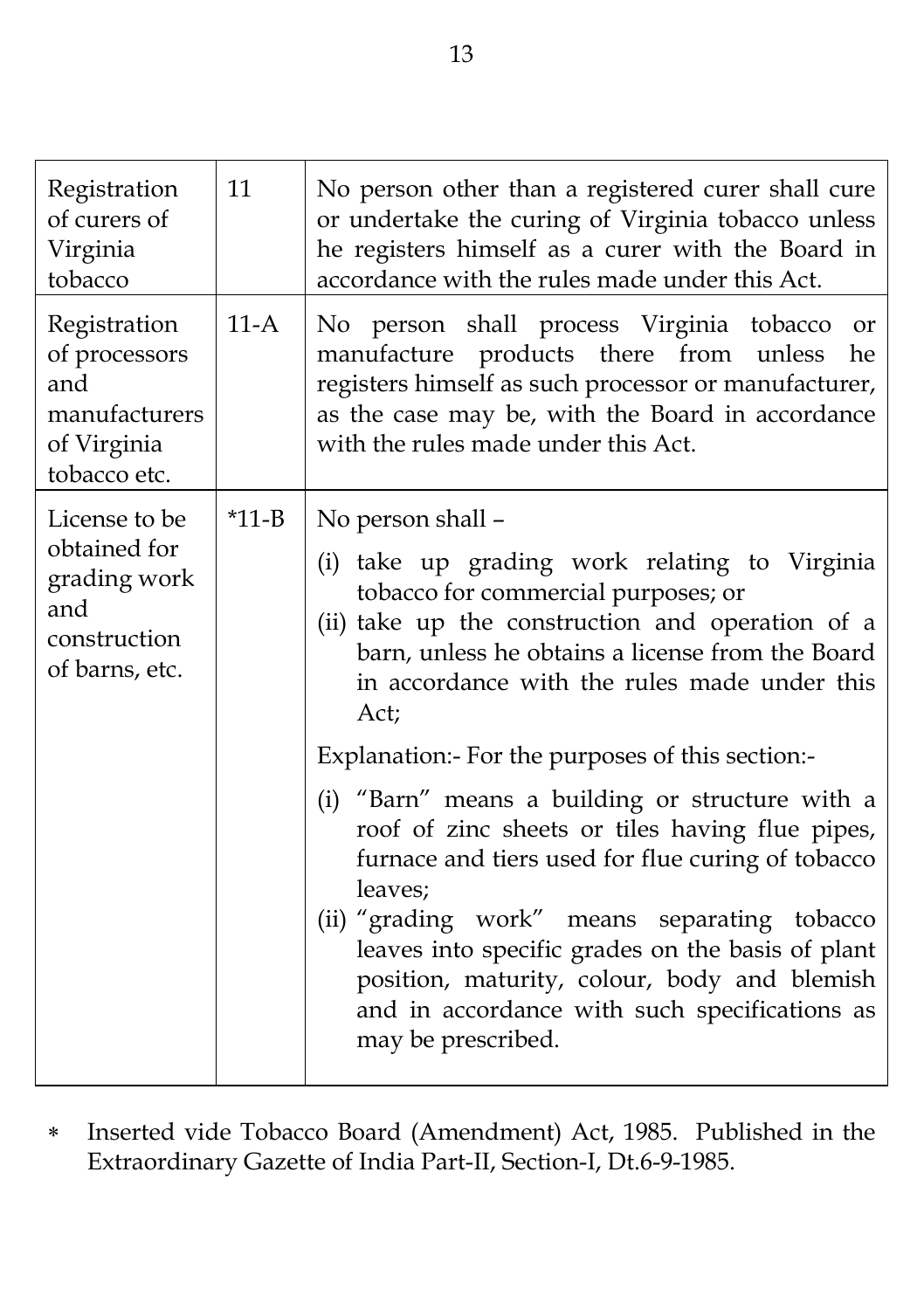| Registration<br>of curers of<br>Virginia<br>tobacco                                    | 11                                                                                                                                                                                                                                                                                                                                                                                                                                               | No person other than a registered curer shall cure<br>or undertake the curing of Virginia tobacco unless<br>he registers himself as a curer with the Board in<br>accordance with the rules made under this Act.                                   |                                                                                                                                                                                                                                                                           |
|----------------------------------------------------------------------------------------|--------------------------------------------------------------------------------------------------------------------------------------------------------------------------------------------------------------------------------------------------------------------------------------------------------------------------------------------------------------------------------------------------------------------------------------------------|---------------------------------------------------------------------------------------------------------------------------------------------------------------------------------------------------------------------------------------------------|---------------------------------------------------------------------------------------------------------------------------------------------------------------------------------------------------------------------------------------------------------------------------|
| Registration<br>of processors<br>and<br>manufacturers<br>of Virginia<br>tobacco etc.   | $11-A$                                                                                                                                                                                                                                                                                                                                                                                                                                           | No person shall process Virginia tobacco<br>or<br>manufacture products there from unless<br>he<br>registers himself as such processor or manufacturer,<br>as the case may be, with the Board in accordance<br>with the rules made under this Act. |                                                                                                                                                                                                                                                                           |
| License to be<br>obtained for<br>grading work<br>and<br>construction<br>of barns, etc. | $*11 - B$                                                                                                                                                                                                                                                                                                                                                                                                                                        |                                                                                                                                                                                                                                                   | No person shall -<br>(i) take up grading work relating to Virginia<br>tobacco for commercial purposes; or<br>(ii) take up the construction and operation of a<br>barn, unless he obtains a license from the Board<br>in accordance with the rules made under this<br>Act; |
|                                                                                        | Explanation: For the purposes of this section:<br>(i) "Barn" means a building or structure with a<br>roof of zinc sheets or tiles having flue pipes,<br>furnace and tiers used for flue curing of tobacco<br>leaves;<br>(ii) "grading work" means separating tobacco<br>leaves into specific grades on the basis of plant<br>position, maturity, colour, body and blemish<br>and in accordance with such specifications as<br>may be prescribed. |                                                                                                                                                                                                                                                   |                                                                                                                                                                                                                                                                           |

 Inserted vide Tobacco Board (Amendment) Act, 1985. Published in the Extraordinary Gazette of India Part-II, Section-I, Dt.6-9-1985.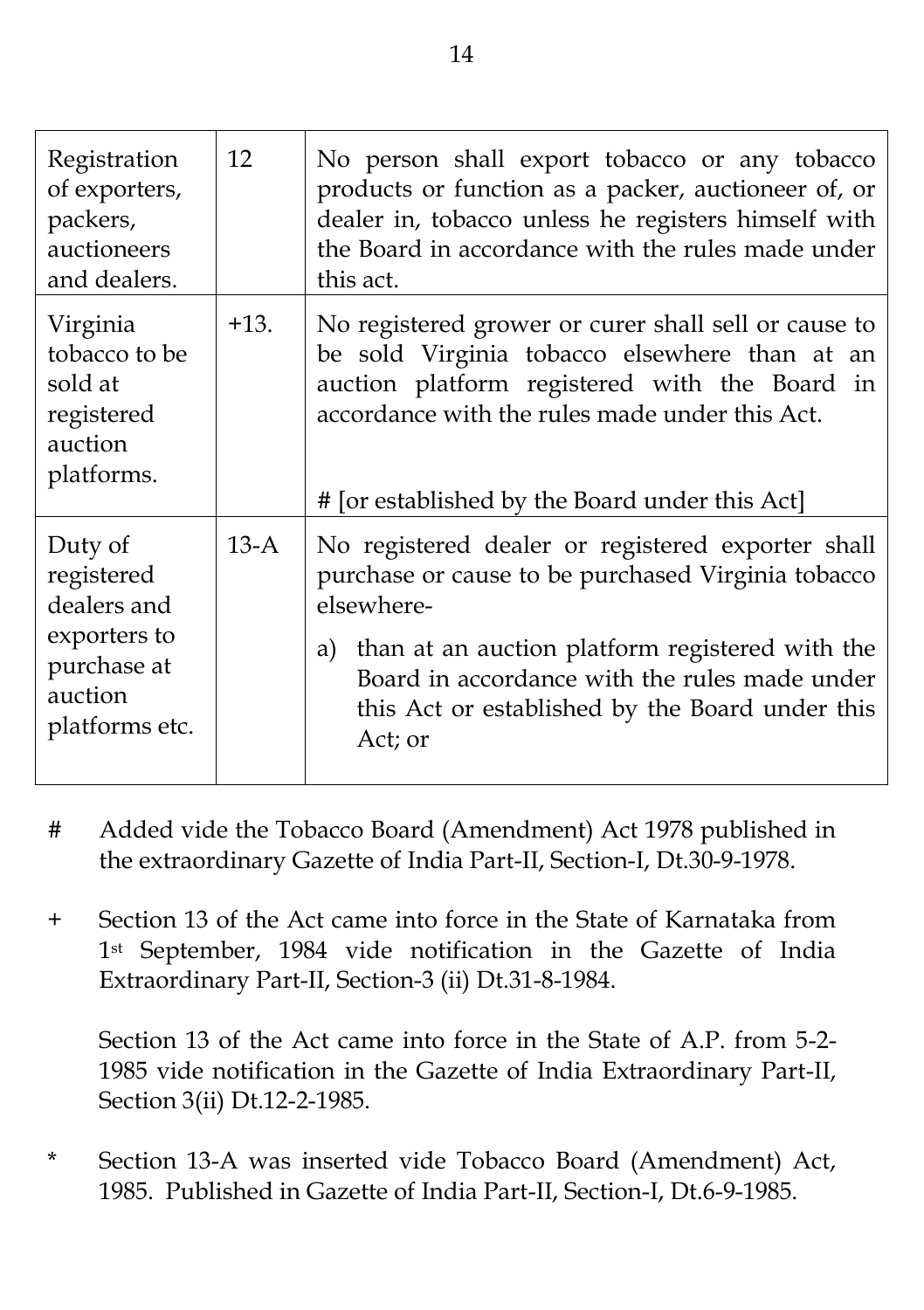| Registration<br>of exporters,<br>packers,<br>auctioneers<br>and dealers.                         | 12     | No person shall export tobacco or any tobacco<br>products or function as a packer, auctioneer of, or<br>dealer in, tobacco unless he registers himself with<br>the Board in accordance with the rules made under<br>this act.                                                              |
|--------------------------------------------------------------------------------------------------|--------|--------------------------------------------------------------------------------------------------------------------------------------------------------------------------------------------------------------------------------------------------------------------------------------------|
| Virginia<br>tobacco to be<br>sold at<br>registered<br>auction<br>platforms.                      | $+13.$ | No registered grower or curer shall sell or cause to<br>be sold Virginia tobacco elsewhere than at an<br>auction platform registered with the Board in<br>accordance with the rules made under this Act.<br># [or established by the Board under this Act]                                 |
| Duty of<br>registered<br>dealers and<br>exporters to<br>purchase at<br>auction<br>platforms etc. | $13-A$ | No registered dealer or registered exporter shall<br>purchase or cause to be purchased Virginia tobacco<br>elsewhere-<br>a) than at an auction platform registered with the<br>Board in accordance with the rules made under<br>this Act or established by the Board under this<br>Act; or |

- # Added vide the Tobacco Board (Amendment) Act 1978 published in the extraordinary Gazette of India Part-II, Section-I, Dt.30-9-1978.
- + Section 13 of the Act came into force in the State of Karnataka from 1st September, 1984 vide notification in the Gazette of India Extraordinary Part-II, Section-3 (ii) Dt.31-8-1984.

Section 13 of the Act came into force in the State of A.P. from 5-2- 1985 vide notification in the Gazette of India Extraordinary Part-II, Section 3(ii) Dt.12-2-1985.

Section 13-A was inserted vide Tobacco Board (Amendment) Act, 1985. Published in Gazette of India Part-II, Section-I, Dt.6-9-1985.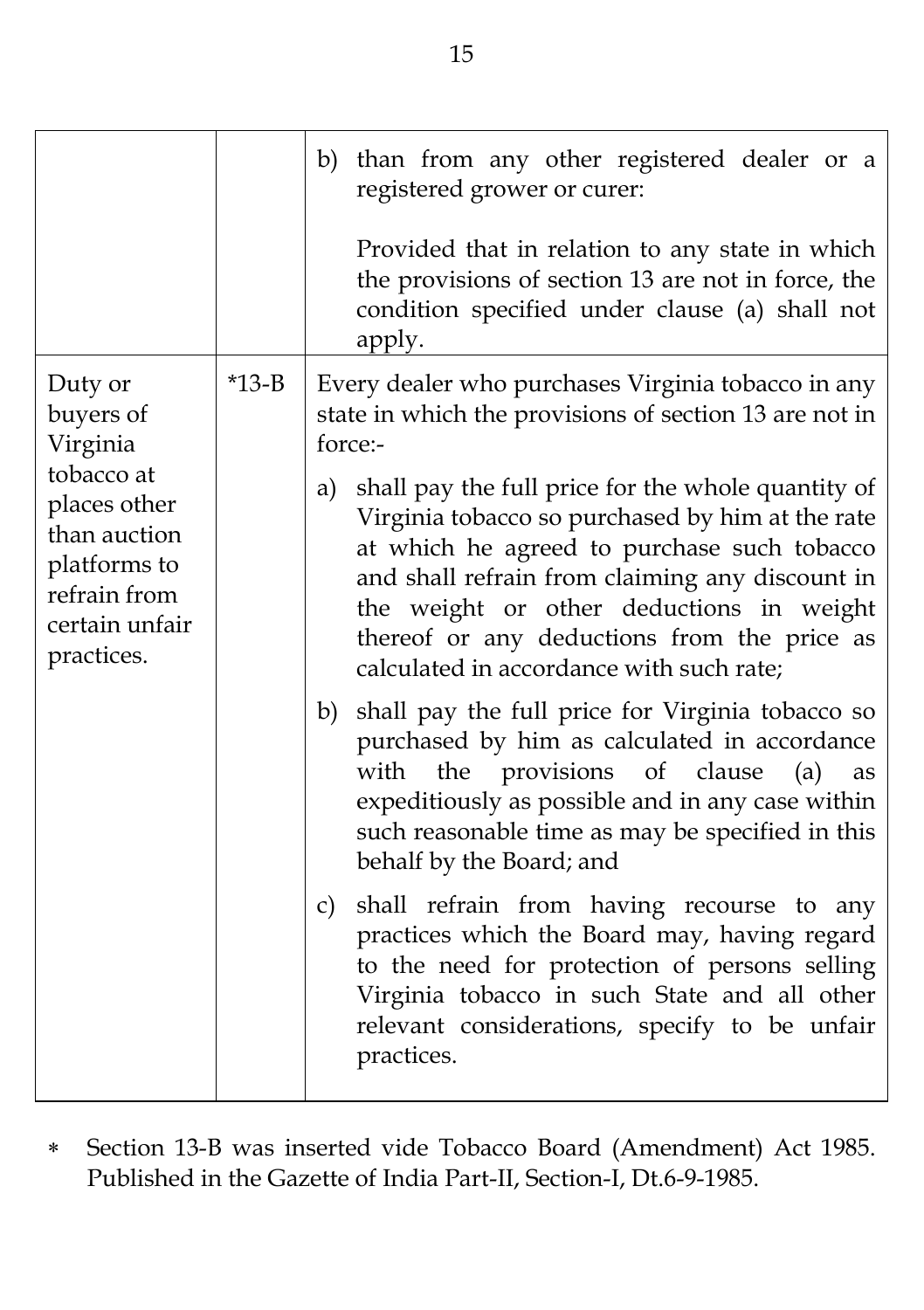|                                                                                                                                                |         | b) than from any other registered dealer or a<br>registered grower or curer:<br>Provided that in relation to any state in which<br>the provisions of section 13 are not in force, the<br>condition specified under clause (a) shall not<br>apply.                                                                                                     |
|------------------------------------------------------------------------------------------------------------------------------------------------|---------|-------------------------------------------------------------------------------------------------------------------------------------------------------------------------------------------------------------------------------------------------------------------------------------------------------------------------------------------------------|
| Duty or<br>buyers of<br>Virginia<br>tobacco at<br>places other<br>than auction<br>platforms to<br>refrain from<br>certain unfair<br>practices. | $*13-B$ | Every dealer who purchases Virginia tobacco in any<br>state in which the provisions of section 13 are not in<br>force:-                                                                                                                                                                                                                               |
|                                                                                                                                                |         | shall pay the full price for the whole quantity of<br>a)<br>Virginia tobacco so purchased by him at the rate<br>at which he agreed to purchase such tobacco<br>and shall refrain from claiming any discount in<br>the weight or other deductions in weight<br>thereof or any deductions from the price as<br>calculated in accordance with such rate; |
|                                                                                                                                                |         | shall pay the full price for Virginia tobacco so<br>b)<br>purchased by him as calculated in accordance<br>provisions of clause<br>with<br>the<br>(a)<br>as<br>expeditiously as possible and in any case within<br>such reasonable time as may be specified in this<br>behalf by the Board; and                                                        |
|                                                                                                                                                |         | shall refrain from having recourse to any<br>c)<br>practices which the Board may, having regard<br>to the need for protection of persons selling<br>Virginia tobacco in such State and all other<br>relevant considerations, specify to be unfair<br>practices.                                                                                       |

 Section 13-B was inserted vide Tobacco Board (Amendment) Act 1985. Published in the Gazette of India Part-II, Section-I, Dt.6-9-1985.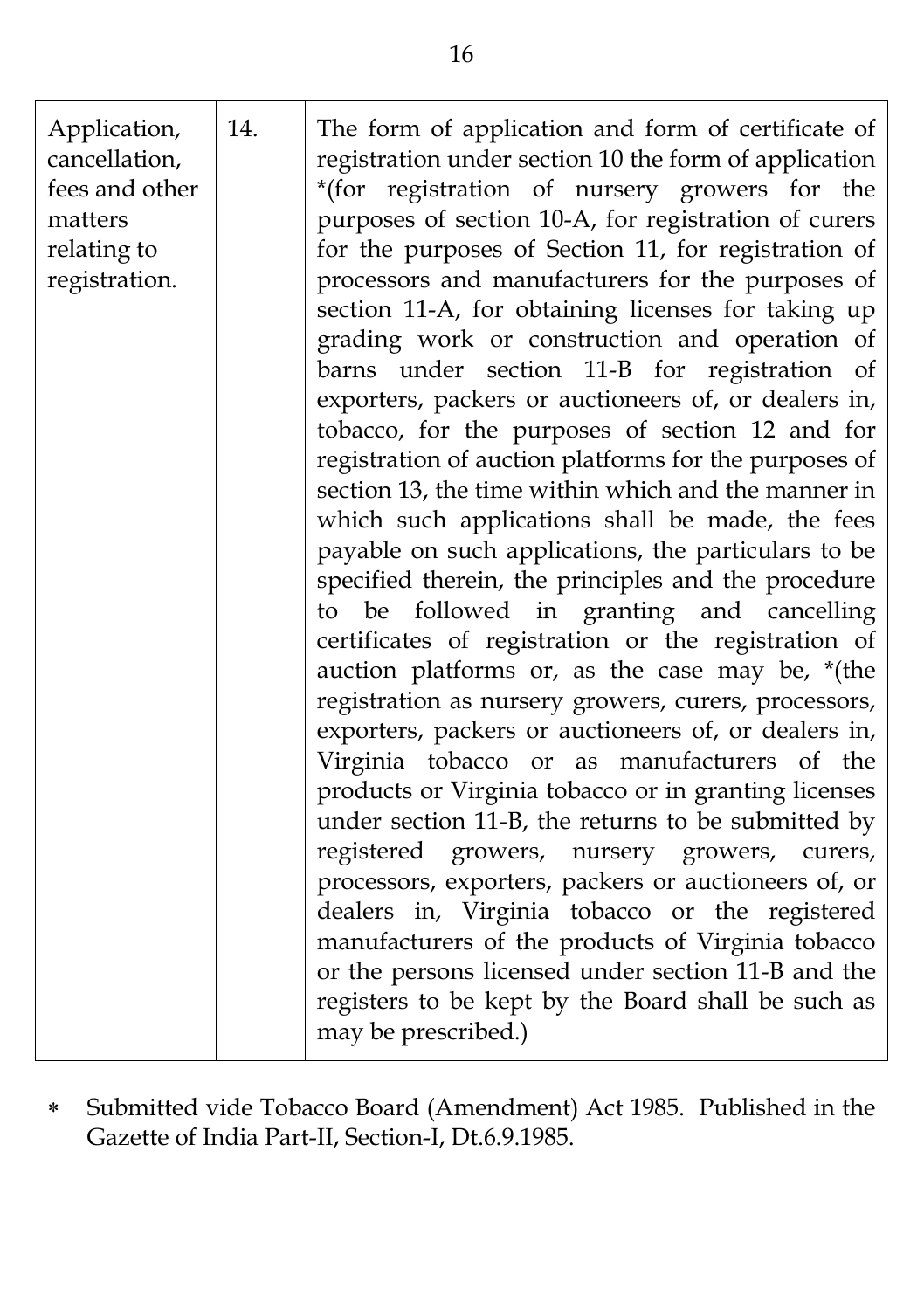| Application,<br>cancellation,<br>fees and other<br>matters<br>relating to<br>registration. | 14. | The form of application and form of certificate of<br>registration under section 10 the form of application<br>*(for registration of nursery growers for the<br>purposes of section 10-A, for registration of curers<br>for the purposes of Section 11, for registration of<br>processors and manufacturers for the purposes of<br>section 11-A, for obtaining licenses for taking up<br>grading work or construction and operation of<br>barns under section 11-B for registration of<br>exporters, packers or auctioneers of, or dealers in,<br>tobacco, for the purposes of section 12 and for<br>registration of auction platforms for the purposes of<br>section 13, the time within which and the manner in<br>which such applications shall be made, the fees<br>payable on such applications, the particulars to be<br>specified therein, the principles and the procedure<br>be followed in granting and cancelling<br>to<br>certificates of registration or the registration of<br>auction platforms or, as the case may be, *(the<br>registration as nursery growers, curers, processors,<br>exporters, packers or auctioneers of, or dealers in,<br>Virginia tobacco or as manufacturers of the<br>products or Virginia tobacco or in granting licenses<br>under section 11-B, the returns to be submitted by<br>registered growers, nursery growers, curers,<br>processors, exporters, packers or auctioneers of, or<br>dealers in, Virginia tobacco or the registered<br>manufacturers of the products of Virginia tobacco<br>or the persons licensed under section 11-B and the |
|--------------------------------------------------------------------------------------------|-----|------------------------------------------------------------------------------------------------------------------------------------------------------------------------------------------------------------------------------------------------------------------------------------------------------------------------------------------------------------------------------------------------------------------------------------------------------------------------------------------------------------------------------------------------------------------------------------------------------------------------------------------------------------------------------------------------------------------------------------------------------------------------------------------------------------------------------------------------------------------------------------------------------------------------------------------------------------------------------------------------------------------------------------------------------------------------------------------------------------------------------------------------------------------------------------------------------------------------------------------------------------------------------------------------------------------------------------------------------------------------------------------------------------------------------------------------------------------------------------------------------------------------------------------------------------------------------------------------|
|                                                                                            |     | registers to be kept by the Board shall be such as<br>may be prescribed.)                                                                                                                                                                                                                                                                                                                                                                                                                                                                                                                                                                                                                                                                                                                                                                                                                                                                                                                                                                                                                                                                                                                                                                                                                                                                                                                                                                                                                                                                                                                      |

 Submitted vide Tobacco Board (Amendment) Act 1985. Published in the Gazette of India Part-II, Section-I, Dt.6.9.1985.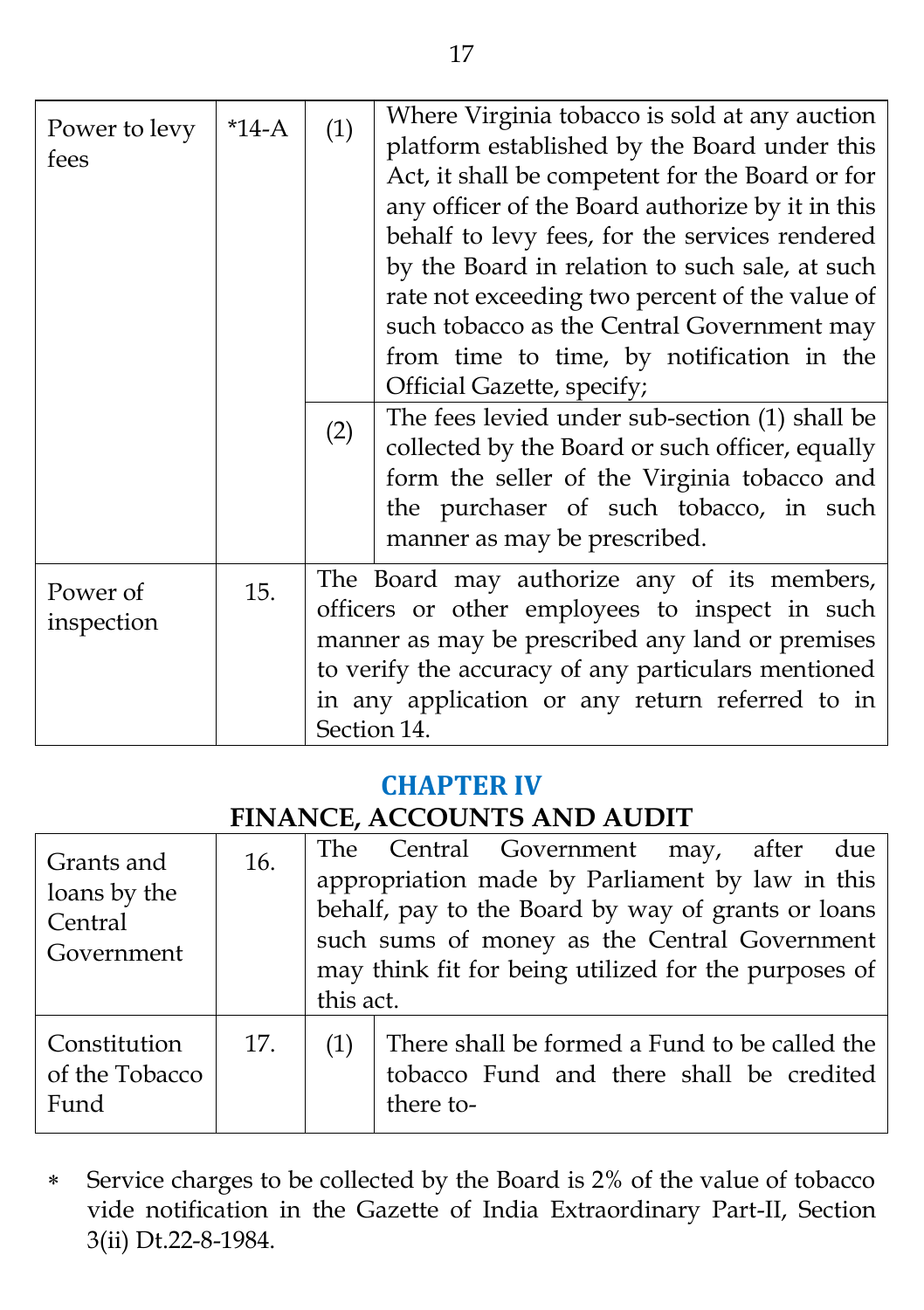| Power to levy<br>fees  | $*14-A$ | (1)<br>(2) | Where Virginia tobacco is sold at any auction<br>platform established by the Board under this<br>Act, it shall be competent for the Board or for<br>any officer of the Board authorize by it in this<br>behalf to levy fees, for the services rendered<br>by the Board in relation to such sale, at such<br>rate not exceeding two percent of the value of<br>such tobacco as the Central Government may<br>from time to time, by notification in the<br>Official Gazette, specify;<br>The fees levied under sub-section (1) shall be<br>collected by the Board or such officer, equally<br>form the seller of the Virginia tobacco and<br>the purchaser of such tobacco, in such<br>manner as may be prescribed. |
|------------------------|---------|------------|-------------------------------------------------------------------------------------------------------------------------------------------------------------------------------------------------------------------------------------------------------------------------------------------------------------------------------------------------------------------------------------------------------------------------------------------------------------------------------------------------------------------------------------------------------------------------------------------------------------------------------------------------------------------------------------------------------------------|
| Power of<br>inspection | 15.     |            | The Board may authorize any of its members,<br>officers or other employees to inspect in such<br>manner as may be prescribed any land or premises<br>to verify the accuracy of any particulars mentioned<br>in any application or any return referred to in<br>Section 14.                                                                                                                                                                                                                                                                                                                                                                                                                                        |

#### **CHAPTER IV**

### **FINANCE, ACCOUNTS AND AUDIT**

| Grants and<br>loans by the<br>Central<br>Government | 16. | The Central Government may, after due<br>appropriation made by Parliament by law in this<br>behalf, pay to the Board by way of grants or loans<br>such sums of money as the Central Government<br>may think fit for being utilized for the purposes of<br>this act. |
|-----------------------------------------------------|-----|---------------------------------------------------------------------------------------------------------------------------------------------------------------------------------------------------------------------------------------------------------------------|
| Constitution<br>of the Tobacco<br>Fund              | 17. | There shall be formed a Fund to be called the<br>(1)<br>tobacco Fund and there shall be credited<br>there to-                                                                                                                                                       |

 Service charges to be collected by the Board is 2% of the value of tobacco vide notification in the Gazette of India Extraordinary Part-II, Section 3(ii) Dt.22-8-1984.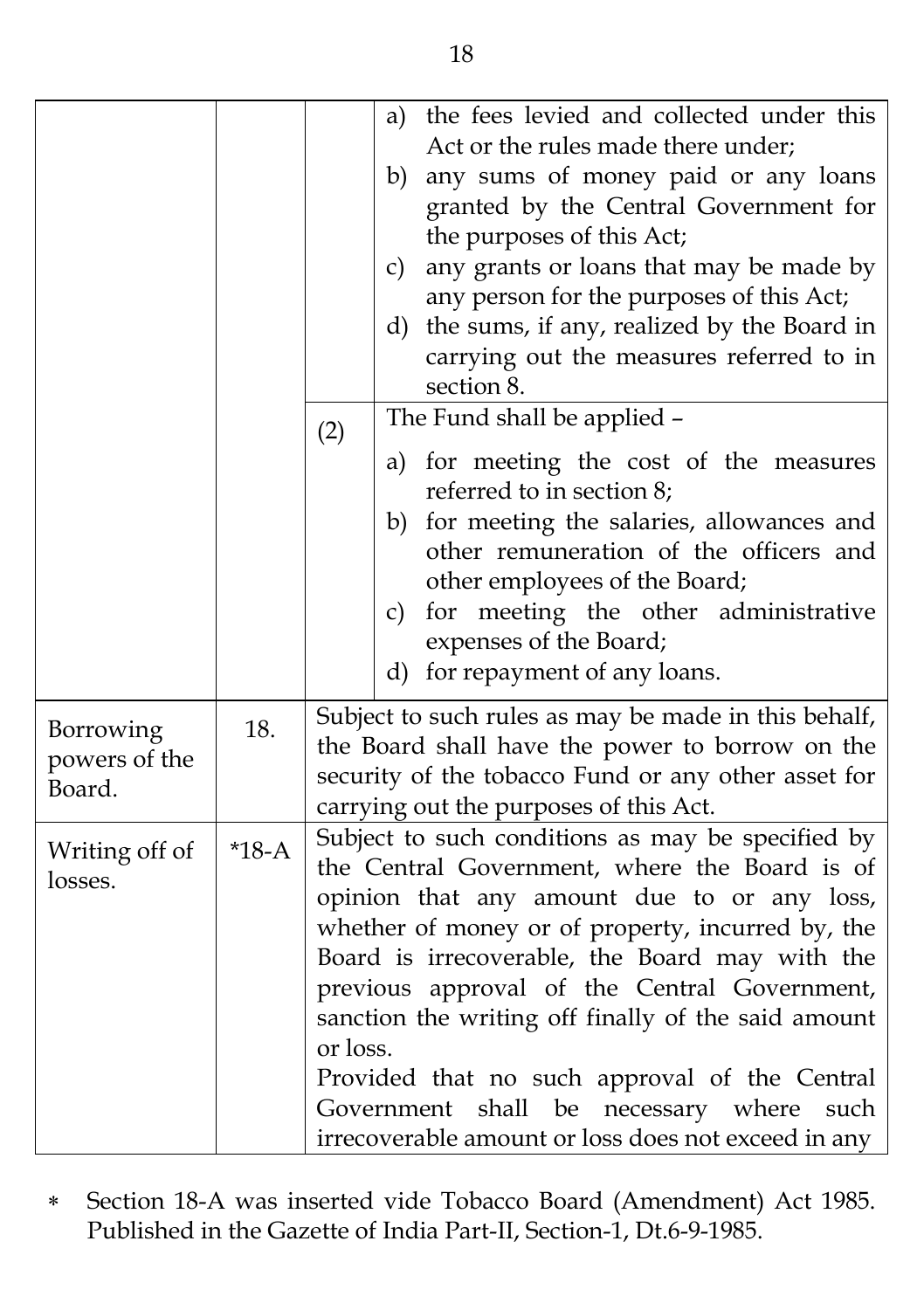|                                      |         | the fees levied and collected under this<br>a)<br>Act or the rules made there under;<br>any sums of money paid or any loans<br>b)<br>granted by the Central Government for<br>the purposes of this Act;<br>any grants or loans that may be made by<br>c)<br>any person for the purposes of this Act;<br>the sums, if any, realized by the Board in<br>d)<br>carrying out the measures referred to in<br>section 8.                                                                                                                       |
|--------------------------------------|---------|------------------------------------------------------------------------------------------------------------------------------------------------------------------------------------------------------------------------------------------------------------------------------------------------------------------------------------------------------------------------------------------------------------------------------------------------------------------------------------------------------------------------------------------|
|                                      |         | The Fund shall be applied -<br>(2)                                                                                                                                                                                                                                                                                                                                                                                                                                                                                                       |
|                                      |         | a) for meeting the cost of the measures<br>referred to in section 8;<br>for meeting the salaries, allowances and<br>b)<br>other remuneration of the officers and<br>other employees of the Board;<br>for meeting the other administrative<br>c)<br>expenses of the Board;<br>d) for repayment of any loans.                                                                                                                                                                                                                              |
| Borrowing<br>powers of the<br>Board. | 18.     | Subject to such rules as may be made in this behalf,<br>the Board shall have the power to borrow on the<br>security of the tobacco Fund or any other asset for<br>carrying out the purposes of this Act.                                                                                                                                                                                                                                                                                                                                 |
| Writing off of<br>losses.            | $*18-A$ | Subject to such conditions as may be specified by<br>the Central Government, where the Board is of<br>opinion that any amount due to or any loss,<br>whether of money or of property, incurred by, the<br>Board is irrecoverable, the Board may with the<br>previous approval of the Central Government,<br>sanction the writing off finally of the said amount<br>or loss.<br>Provided that no such approval of the Central<br>necessary where<br>shall be<br>such<br>Government<br>irrecoverable amount or loss does not exceed in any |

 Section 18-A was inserted vide Tobacco Board (Amendment) Act 1985. Published in the Gazette of India Part-II, Section-1, Dt.6-9-1985.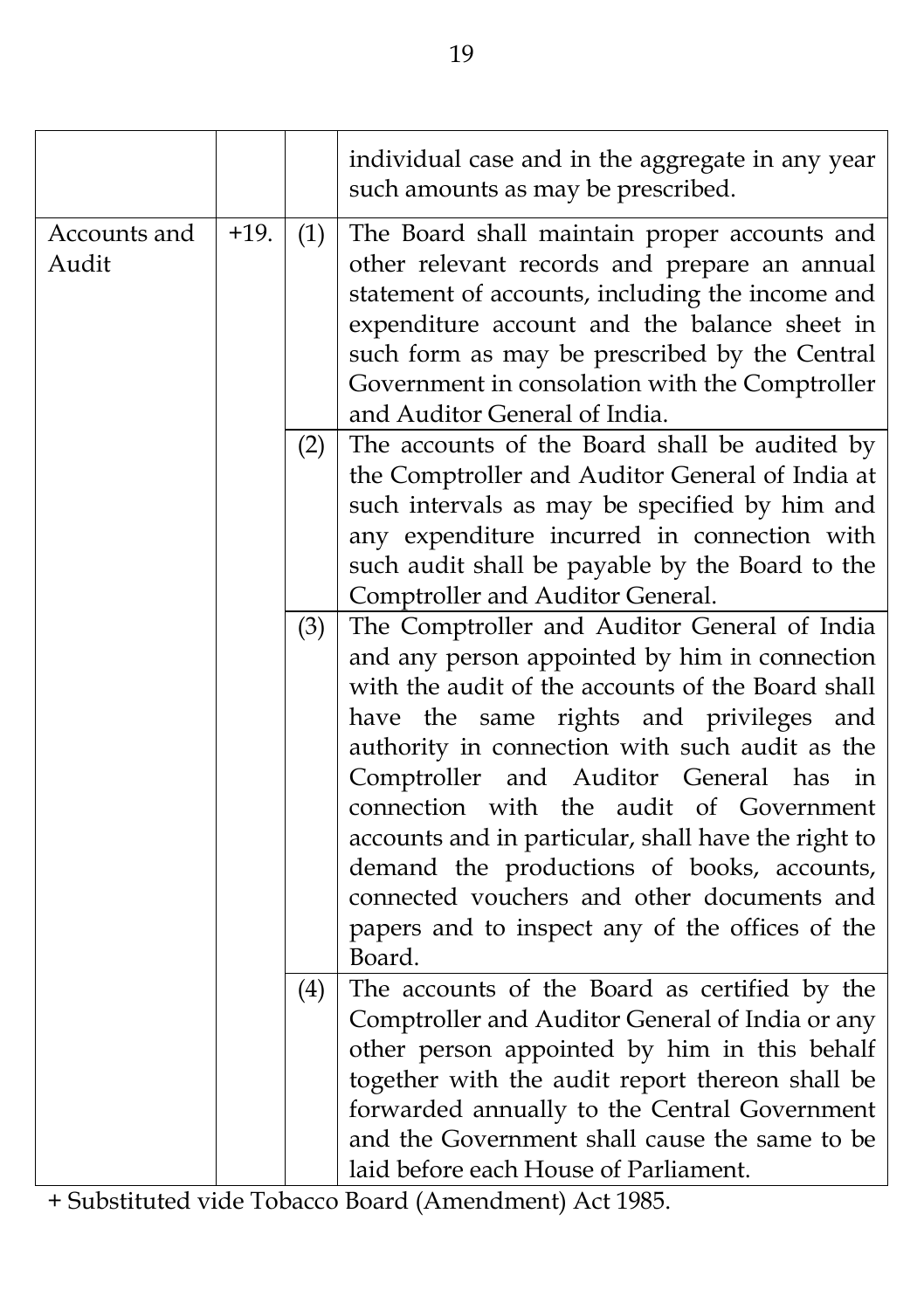|                       |        |     | individual case and in the aggregate in any year<br>such amounts as may be prescribed.                                                                                                                                                                                                                                                                                                                                                                                                                                                                  |
|-----------------------|--------|-----|---------------------------------------------------------------------------------------------------------------------------------------------------------------------------------------------------------------------------------------------------------------------------------------------------------------------------------------------------------------------------------------------------------------------------------------------------------------------------------------------------------------------------------------------------------|
| Accounts and<br>Audit | $+19.$ | (1) | The Board shall maintain proper accounts and<br>other relevant records and prepare an annual<br>statement of accounts, including the income and<br>expenditure account and the balance sheet in<br>such form as may be prescribed by the Central<br>Government in consolation with the Comptroller<br>and Auditor General of India.                                                                                                                                                                                                                     |
|                       |        | (2) | The accounts of the Board shall be audited by<br>the Comptroller and Auditor General of India at<br>such intervals as may be specified by him and<br>any expenditure incurred in connection with<br>such audit shall be payable by the Board to the<br>Comptroller and Auditor General.                                                                                                                                                                                                                                                                 |
|                       |        | (3) | The Comptroller and Auditor General of India<br>and any person appointed by him in connection<br>with the audit of the accounts of the Board shall<br>have the same rights and privileges and<br>authority in connection with such audit as the<br>Comptroller and Auditor General has<br>in<br>connection with the audit of Government<br>accounts and in particular, shall have the right to<br>demand the productions of books, accounts,<br>connected vouchers and other documents and<br>papers and to inspect any of the offices of the<br>Board. |
|                       |        | (4) | The accounts of the Board as certified by the<br>Comptroller and Auditor General of India or any<br>other person appointed by him in this behalf<br>together with the audit report thereon shall be<br>forwarded annually to the Central Government<br>and the Government shall cause the same to be<br>laid before each House of Parliament.                                                                                                                                                                                                           |

+ Substituted vide Tobacco Board (Amendment) Act 1985.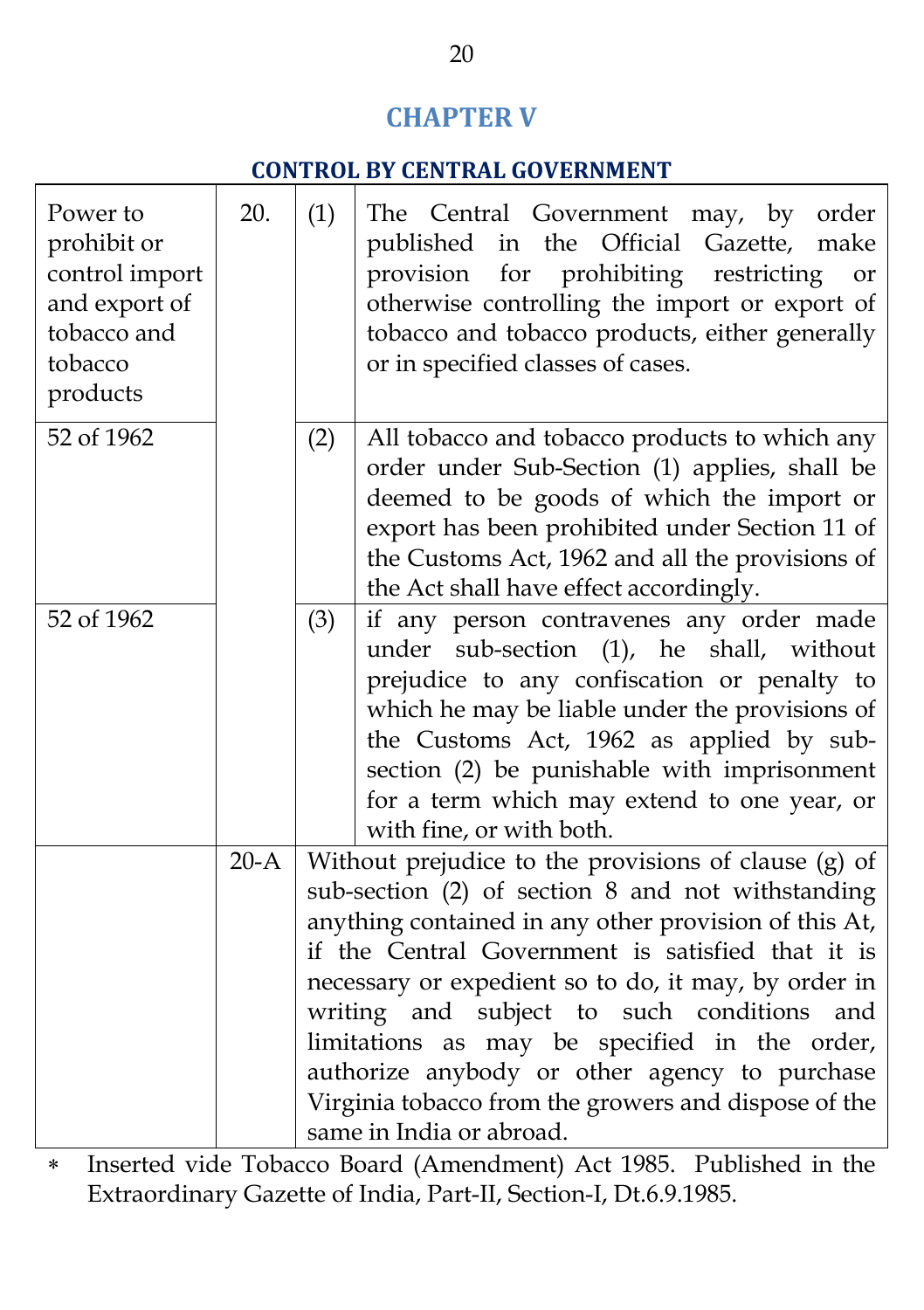## **CHAPTER V**

#### **CONTROL BY CENTRAL GOVERNMENT**

| Power to<br>prohibit or<br>control import<br>and export of<br>tobacco and<br>tobacco<br>products | 20.    | (1) | The Central Government may, by order<br>published in the Official Gazette, make<br>for prohibiting<br>restricting<br>provision<br><b>or</b><br>otherwise controlling the import or export of<br>tobacco and tobacco products, either generally<br>or in specified classes of cases.                                                                                                                                                                                                                                    |
|--------------------------------------------------------------------------------------------------|--------|-----|------------------------------------------------------------------------------------------------------------------------------------------------------------------------------------------------------------------------------------------------------------------------------------------------------------------------------------------------------------------------------------------------------------------------------------------------------------------------------------------------------------------------|
| 52 of 1962                                                                                       |        | (2) | All tobacco and tobacco products to which any<br>order under Sub-Section (1) applies, shall be<br>deemed to be goods of which the import or<br>export has been prohibited under Section 11 of<br>the Customs Act, 1962 and all the provisions of<br>the Act shall have effect accordingly.                                                                                                                                                                                                                             |
| 52 of 1962                                                                                       |        | (3) | if any person contravenes any order made<br>under sub-section (1), he shall, without<br>prejudice to any confiscation or penalty to<br>which he may be liable under the provisions of<br>the Customs Act, 1962 as applied by sub-<br>section (2) be punishable with imprisonment<br>for a term which may extend to one year, or<br>with fine, or with both.                                                                                                                                                            |
|                                                                                                  | $20-A$ |     | Without prejudice to the provisions of clause (g) of<br>sub-section (2) of section 8 and not withstanding<br>anything contained in any other provision of this At,<br>if the Central Government is satisfied that it is<br>necessary or expedient so to do, it may, by order in<br>writing and subject to such conditions<br>and<br>limitations as may be specified in the order,<br>authorize anybody or other agency to purchase<br>Virginia tobacco from the growers and dispose of the<br>same in India or abroad. |

 Inserted vide Tobacco Board (Amendment) Act 1985. Published in the Extraordinary Gazette of India, Part-II, Section-I, Dt.6.9.1985.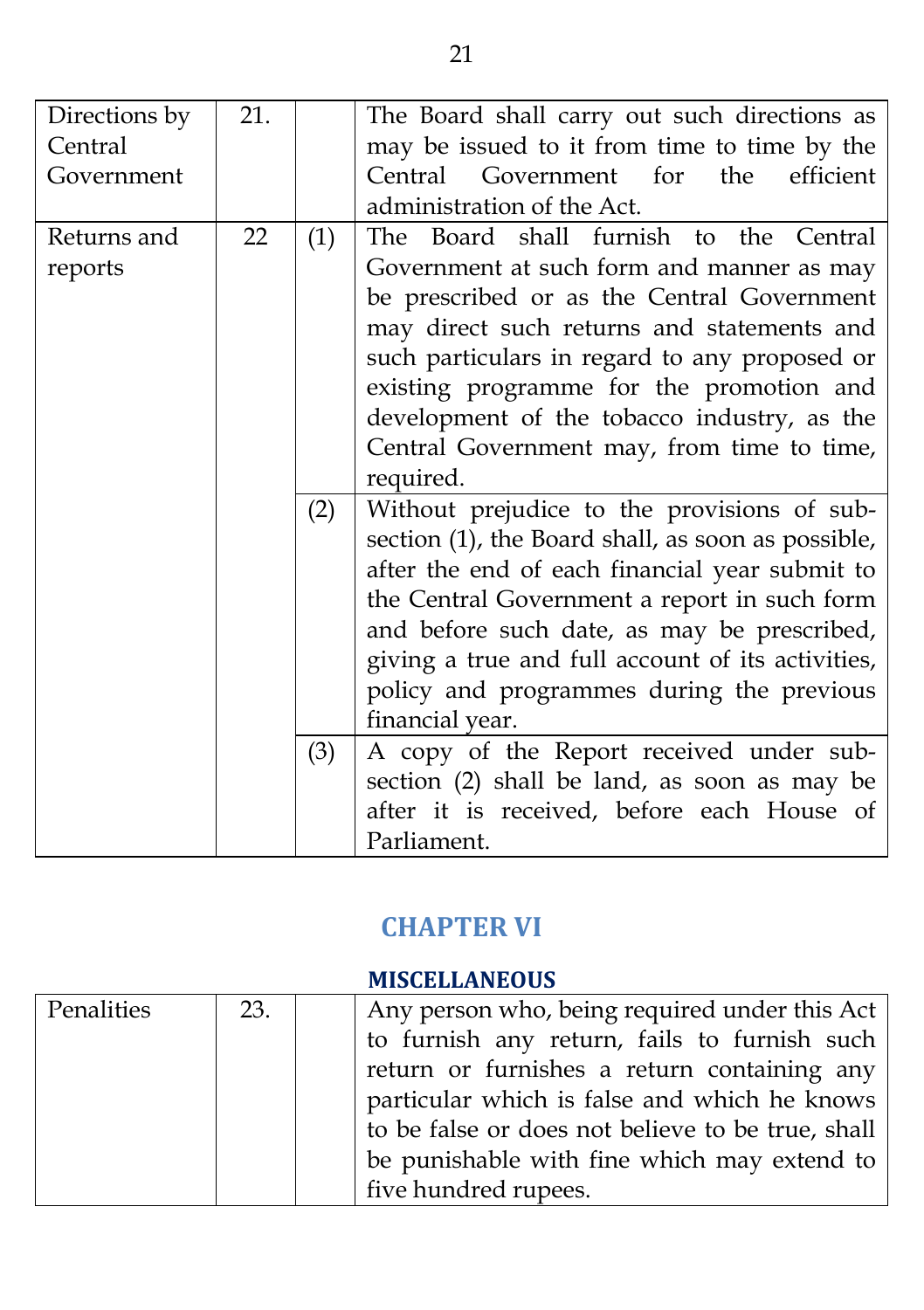| Directions by | 21. |     | The Board shall carry out such directions as       |
|---------------|-----|-----|----------------------------------------------------|
| Central       |     |     | may be issued to it from time to time by the       |
| Government    |     |     | the<br>efficient<br>Central<br>Government<br>for   |
|               |     |     | administration of the Act.                         |
| Returns and   | 22  | (1) | The Board shall furnish to the Central             |
| reports       |     |     | Government at such form and manner as may          |
|               |     |     | be prescribed or as the Central Government         |
|               |     |     | may direct such returns and statements and         |
|               |     |     | such particulars in regard to any proposed or      |
|               |     |     | existing programme for the promotion and           |
|               |     |     | development of the tobacco industry, as the        |
|               |     |     | Central Government may, from time to time,         |
|               |     |     | required.                                          |
|               |     | (2) | Without prejudice to the provisions of sub-        |
|               |     |     | section (1), the Board shall, as soon as possible, |
|               |     |     | after the end of each financial year submit to     |
|               |     |     | the Central Government a report in such form       |
|               |     |     | and before such date, as may be prescribed,        |
|               |     |     | giving a true and full account of its activities,  |
|               |     |     | policy and programmes during the previous          |
|               |     |     |                                                    |
|               |     |     | financial year.                                    |
|               |     | (3) | A copy of the Report received under sub-           |
|               |     |     | section (2) shall be land, as soon as may be       |
|               |     |     | after it is received, before each House of         |
|               |     |     | Parliament.                                        |

# **CHAPTER VI**

#### **MISCELLANEOUS**

| Penalities | 23. | Any person who, being required under this Act     |
|------------|-----|---------------------------------------------------|
|            |     | to furnish any return, fails to furnish such      |
|            |     | return or furnishes a return containing any       |
|            |     | particular which is false and which he knows      |
|            |     | to be false or does not believe to be true, shall |
|            |     | be punishable with fine which may extend to       |
|            |     | five hundred rupees.                              |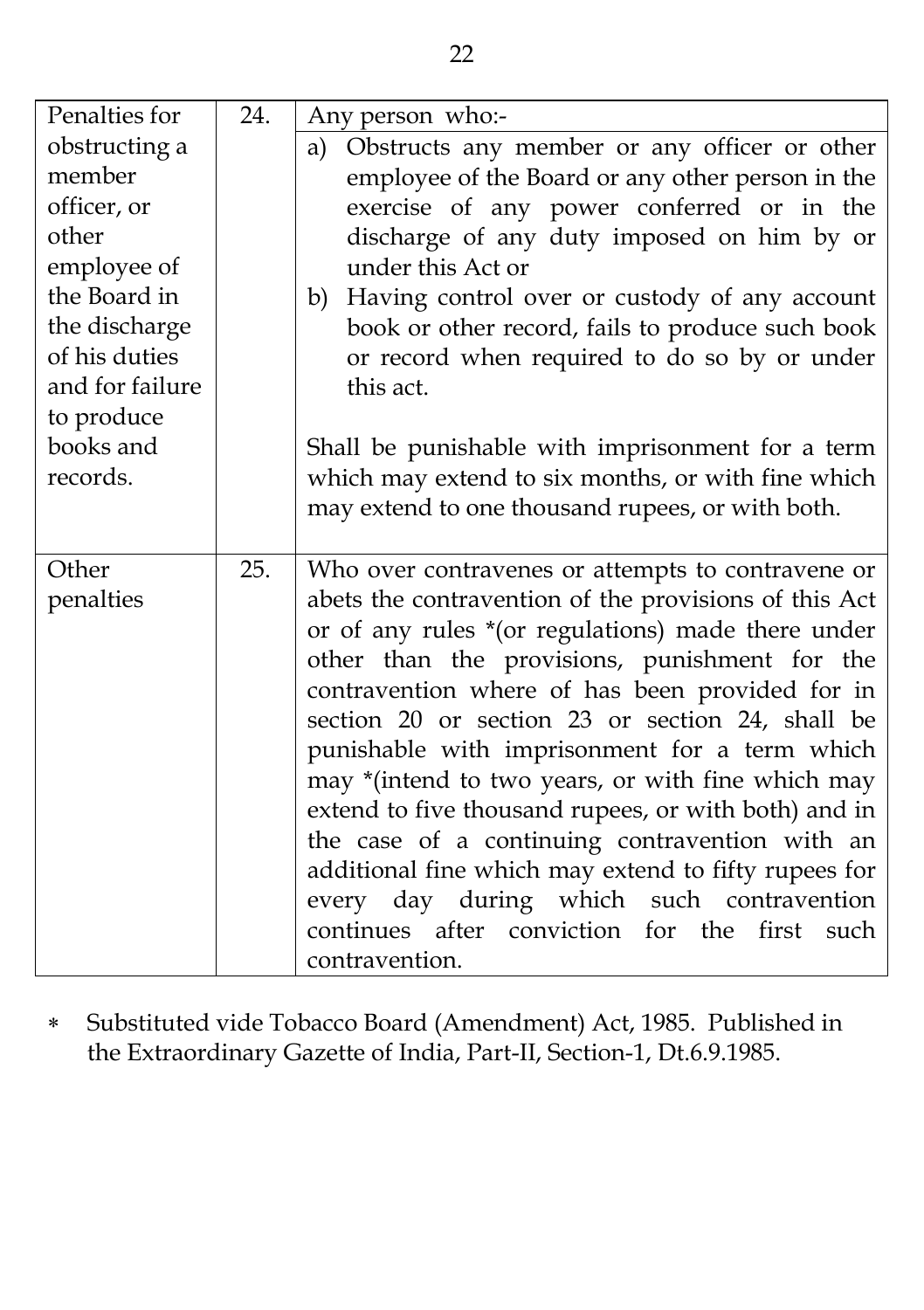| Penalties for   | 24. | Any person who:-                                                |
|-----------------|-----|-----------------------------------------------------------------|
| obstructing a   |     | Obstructs any member or any officer or other<br>a)              |
| member          |     | employee of the Board or any other person in the                |
| officer, or     |     | exercise of any power conferred or in the                       |
| other           |     | discharge of any duty imposed on him by or                      |
| employee of     |     | under this Act or                                               |
| the Board in    |     | b) Having control over or custody of any account                |
| the discharge   |     | book or other record, fails to produce such book                |
| of his duties   |     | or record when required to do so by or under                    |
| and for failure |     | this act.                                                       |
| to produce      |     |                                                                 |
| books and       |     | Shall be punishable with imprisonment for a term                |
| records.        |     | which may extend to six months, or with fine which              |
|                 |     | may extend to one thousand rupees, or with both.                |
|                 |     |                                                                 |
| Other           | 25. | Who over contravenes or attempts to contravene or               |
| penalties       |     | abets the contravention of the provisions of this Act           |
|                 |     | or of any rules *(or regulations) made there under              |
|                 |     | other than the provisions, punishment for the                   |
|                 |     | contravention where of has been provided for in                 |
|                 |     | section 20 or section 23 or section 24, shall be                |
|                 |     | punishable with imprisonment for a term which                   |
|                 |     | may *(intend to two years, or with fine which may               |
|                 |     | extend to five thousand rupees, or with both) and in            |
|                 |     | the case of a continuing contravention with an                  |
|                 |     | additional fine which may extend to fifty rupees for            |
|                 |     | every day during which such contravention                       |
|                 |     |                                                                 |
|                 |     | continues after conviction for the first such<br>contravention. |

 Substituted vide Tobacco Board (Amendment) Act, 1985. Published in the Extraordinary Gazette of India, Part-II, Section-1, Dt.6.9.1985.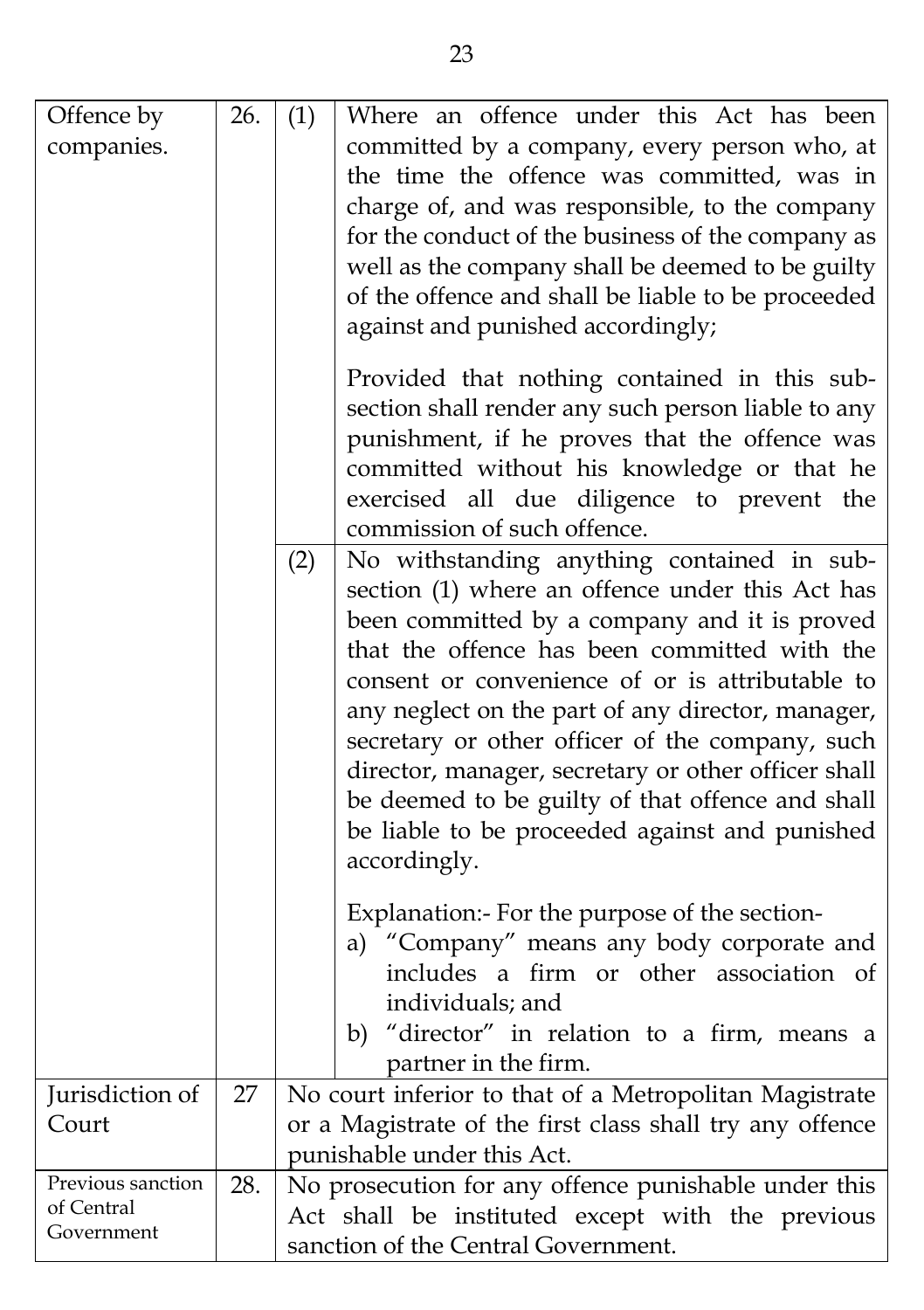| Offence by<br>companies.                      | 26. | (1) | Where an offence under this Act has been<br>committed by a company, every person who, at<br>the time the offence was committed, was in<br>charge of, and was responsible, to the company<br>for the conduct of the business of the company as<br>well as the company shall be deemed to be guilty<br>of the offence and shall be liable to be proceeded<br>against and punished accordingly;                                                                                                                                          |
|-----------------------------------------------|-----|-----|---------------------------------------------------------------------------------------------------------------------------------------------------------------------------------------------------------------------------------------------------------------------------------------------------------------------------------------------------------------------------------------------------------------------------------------------------------------------------------------------------------------------------------------|
|                                               |     |     | Provided that nothing contained in this sub-<br>section shall render any such person liable to any<br>punishment, if he proves that the offence was<br>committed without his knowledge or that he<br>exercised all due diligence to prevent the<br>commission of such offence.                                                                                                                                                                                                                                                        |
|                                               |     | (2) | No withstanding anything contained in sub-<br>section (1) where an offence under this Act has<br>been committed by a company and it is proved<br>that the offence has been committed with the<br>consent or convenience of or is attributable to<br>any neglect on the part of any director, manager,<br>secretary or other officer of the company, such<br>director, manager, secretary or other officer shall<br>be deemed to be guilty of that offence and shall<br>be liable to be proceeded against and punished<br>accordingly. |
|                                               |     |     | Explanation:- For the purpose of the section-<br>a) "Company" means any body corporate and<br>includes a firm or other association of<br>individuals; and<br>b) "director" in relation to a firm, means a<br>partner in the firm.                                                                                                                                                                                                                                                                                                     |
| Jurisdiction of<br>Court                      | 27  |     | No court inferior to that of a Metropolitan Magistrate<br>or a Magistrate of the first class shall try any offence<br>punishable under this Act.                                                                                                                                                                                                                                                                                                                                                                                      |
| Previous sanction<br>of Central<br>Government | 28. |     | No prosecution for any offence punishable under this<br>Act shall be instituted except with the previous<br>sanction of the Central Government.                                                                                                                                                                                                                                                                                                                                                                                       |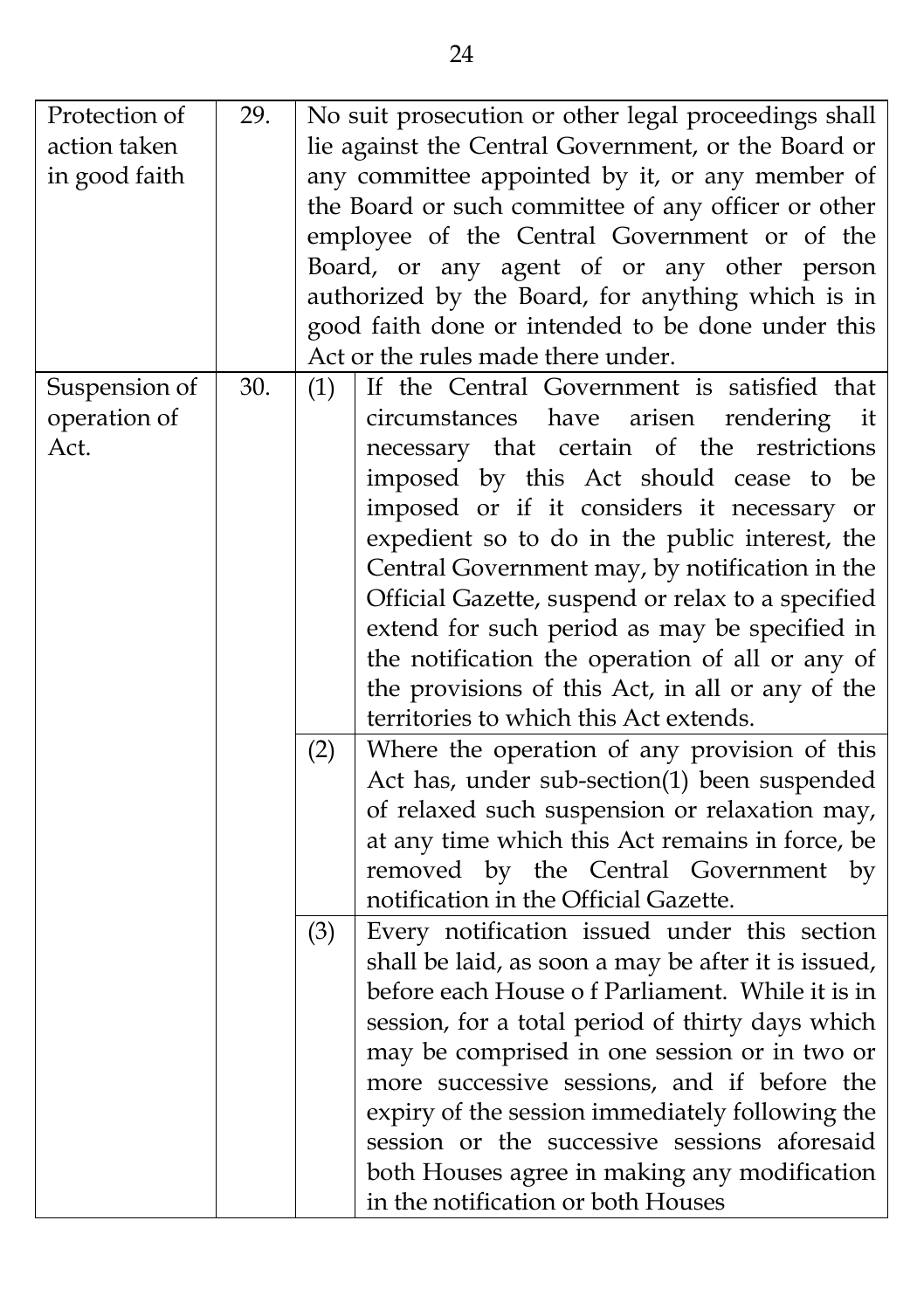| Protection of<br>29.                                                       | No suit prosecution or other legal proceedings shall |  |  |
|----------------------------------------------------------------------------|------------------------------------------------------|--|--|
| action taken                                                               | lie against the Central Government, or the Board or  |  |  |
| any committee appointed by it, or any member of<br>in good faith           |                                                      |  |  |
| the Board or such committee of any officer or other                        |                                                      |  |  |
| employee of the Central Government or of the                               |                                                      |  |  |
| Board, or any agent of or any other person                                 |                                                      |  |  |
| authorized by the Board, for anything which is in                          |                                                      |  |  |
| good faith done or intended to be done under this                          |                                                      |  |  |
| Act or the rules made there under.                                         |                                                      |  |  |
|                                                                            |                                                      |  |  |
| If the Central Government is satisfied that<br>Suspension of<br>30.<br>(1) |                                                      |  |  |
| operation of<br>circumstances have<br>arisen rendering it                  |                                                      |  |  |
| necessary that certain of the restrictions<br>Act.                         |                                                      |  |  |
| imposed by this Act should cease to be                                     |                                                      |  |  |
| imposed or if it considers it necessary or                                 |                                                      |  |  |
| expedient so to do in the public interest, the                             |                                                      |  |  |
| Central Government may, by notification in the                             |                                                      |  |  |
| Official Gazette, suspend or relax to a specified                          |                                                      |  |  |
| extend for such period as may be specified in                              |                                                      |  |  |
| the notification the operation of all or any of                            |                                                      |  |  |
| the provisions of this Act, in all or any of the                           |                                                      |  |  |
| territories to which this Act extends.                                     |                                                      |  |  |
| Where the operation of any provision of this<br>(2)                        |                                                      |  |  |
| Act has, under sub-section(1) been suspended                               |                                                      |  |  |
| of relaxed such suspension or relaxation may,                              |                                                      |  |  |
|                                                                            |                                                      |  |  |
| at any time which this Act remains in force, be                            |                                                      |  |  |
| removed by the Central Government by                                       |                                                      |  |  |
| notification in the Official Gazette.                                      |                                                      |  |  |
| Every notification issued under this section<br>(3)                        |                                                      |  |  |
| shall be laid, as soon a may be after it is issued,                        |                                                      |  |  |
| before each House of Parliament. While it is in                            |                                                      |  |  |
| session, for a total period of thirty days which                           |                                                      |  |  |
| may be comprised in one session or in two or                               |                                                      |  |  |
| more successive sessions, and if before the                                |                                                      |  |  |
| expiry of the session immediately following the                            |                                                      |  |  |
| session or the successive sessions aforesaid                               |                                                      |  |  |
| both Houses agree in making any modification                               |                                                      |  |  |
|                                                                            |                                                      |  |  |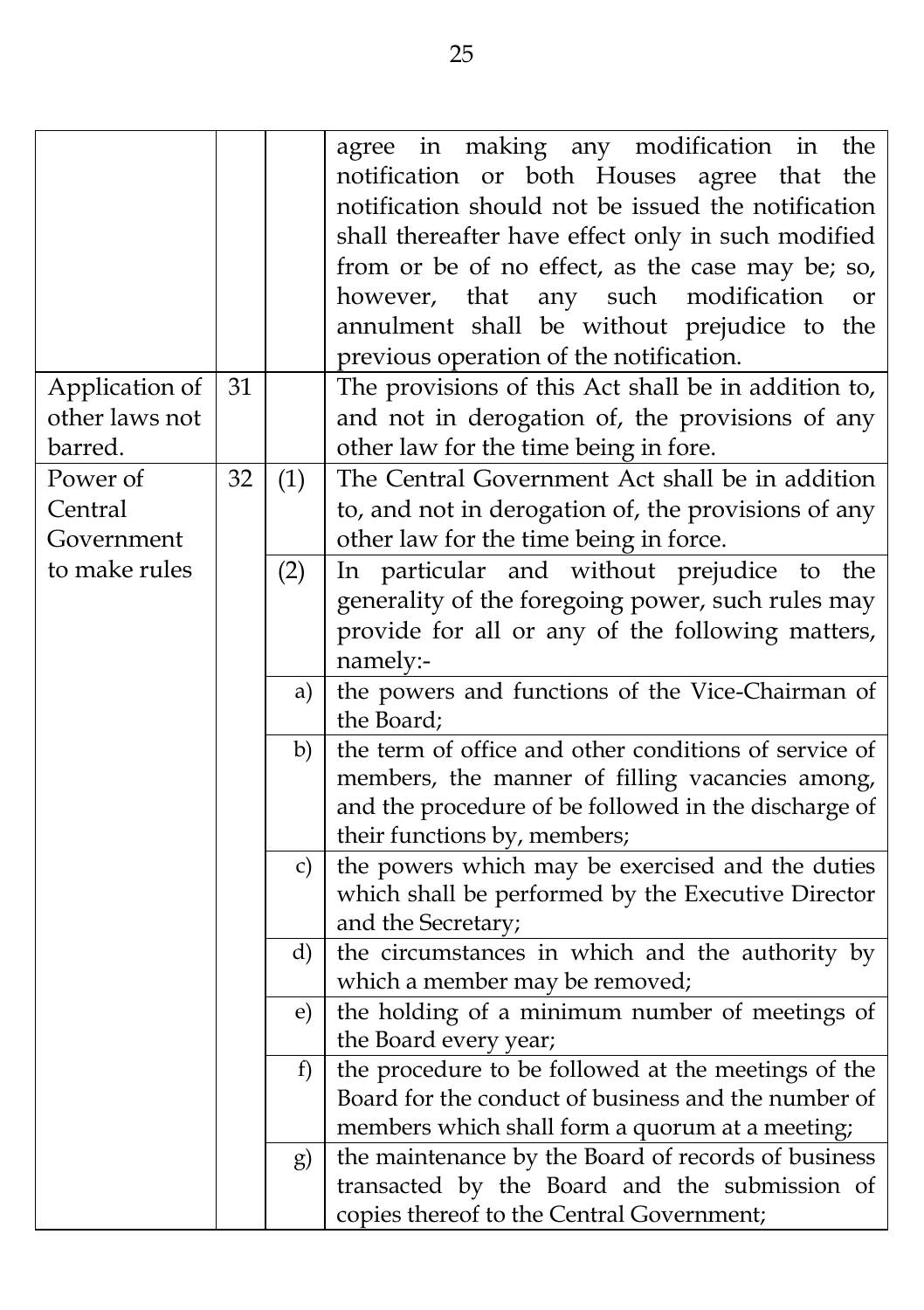| Application of                    | 31 |     | agree in making any modification in<br>the<br>notification or both Houses agree that<br>the<br>notification should not be issued the notification<br>shall thereafter have effect only in such modified<br>from or be of no effect, as the case may be; so,<br>any such<br>modification<br>however,<br>that<br><sub>or</sub><br>annulment shall be without prejudice to the<br>previous operation of the notification.<br>The provisions of this Act shall be in addition to, |
|-----------------------------------|----|-----|-------------------------------------------------------------------------------------------------------------------------------------------------------------------------------------------------------------------------------------------------------------------------------------------------------------------------------------------------------------------------------------------------------------------------------------------------------------------------------|
| other laws not<br>barred.         |    |     | and not in derogation of, the provisions of any<br>other law for the time being in fore.                                                                                                                                                                                                                                                                                                                                                                                      |
| Power of<br>Central<br>Government | 32 | (1) | The Central Government Act shall be in addition<br>to, and not in derogation of, the provisions of any<br>other law for the time being in force.                                                                                                                                                                                                                                                                                                                              |
| to make rules                     |    | (2) | In particular and without prejudice to<br>the<br>generality of the foregoing power, such rules may<br>provide for all or any of the following matters,<br>namely:-                                                                                                                                                                                                                                                                                                            |
|                                   |    | a)  | the powers and functions of the Vice-Chairman of<br>the Board;                                                                                                                                                                                                                                                                                                                                                                                                                |
|                                   |    | b)  | the term of office and other conditions of service of<br>members, the manner of filling vacancies among,<br>and the procedure of be followed in the discharge of<br>their functions by, members;                                                                                                                                                                                                                                                                              |
|                                   |    | C)  | the powers which may be exercised and the duties<br>which shall be performed by the Executive Director<br>and the Secretary;                                                                                                                                                                                                                                                                                                                                                  |
|                                   |    | d)  | the circumstances in which and the authority by<br>which a member may be removed;                                                                                                                                                                                                                                                                                                                                                                                             |
|                                   |    | e)  | the holding of a minimum number of meetings of<br>the Board every year;                                                                                                                                                                                                                                                                                                                                                                                                       |
|                                   |    | f)  | the procedure to be followed at the meetings of the<br>Board for the conduct of business and the number of<br>members which shall form a quorum at a meeting;                                                                                                                                                                                                                                                                                                                 |
|                                   |    | g)  | the maintenance by the Board of records of business<br>transacted by the Board and the submission of<br>copies thereof to the Central Government;                                                                                                                                                                                                                                                                                                                             |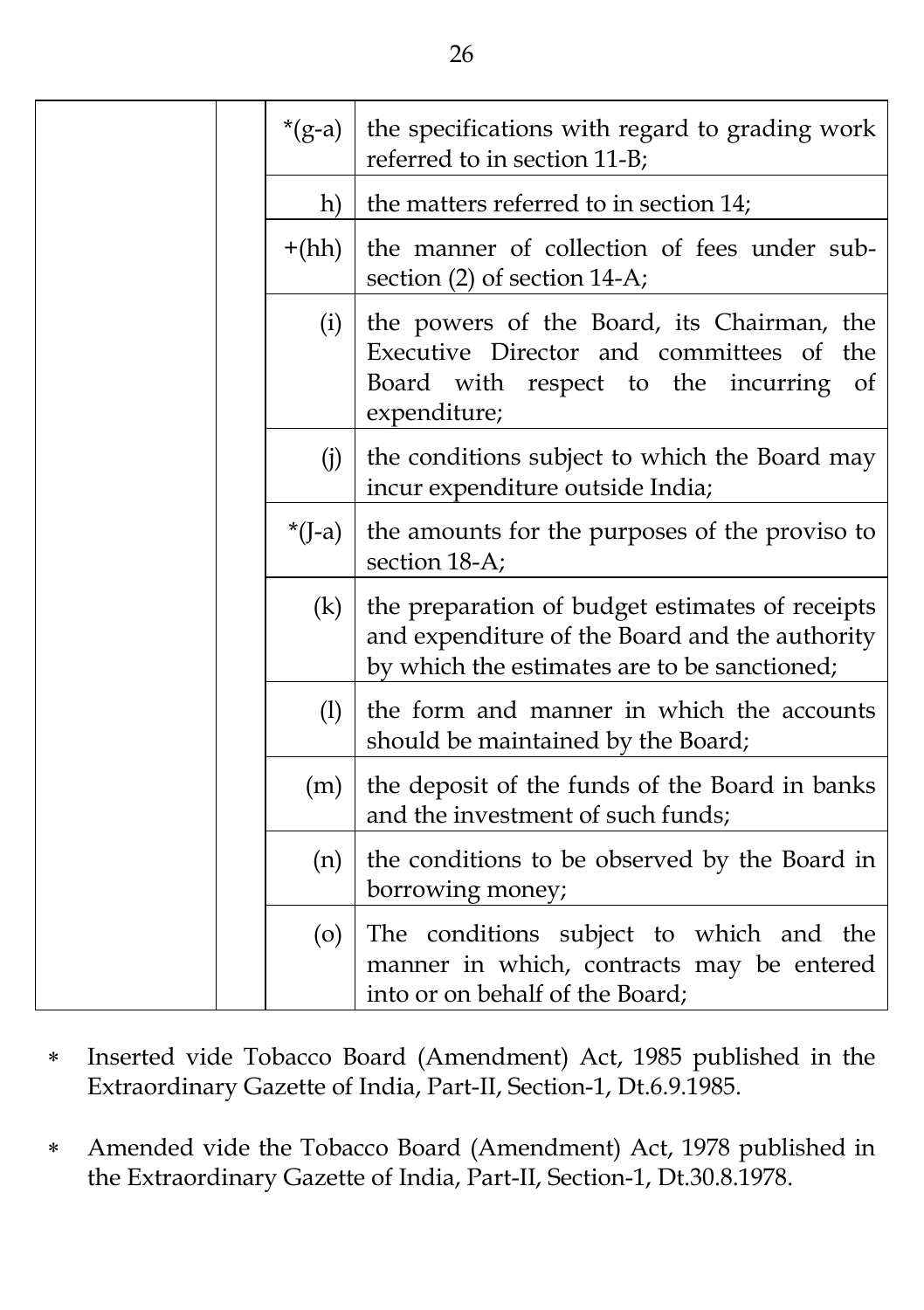|  | $*(g-a)$ | the specifications with regard to grading work<br>referred to in section 11-B;                                                                        |
|--|----------|-------------------------------------------------------------------------------------------------------------------------------------------------------|
|  | h)       | the matters referred to in section 14;                                                                                                                |
|  | $+(hh)$  | the manner of collection of fees under sub-<br>section $(2)$ of section 14-A;                                                                         |
|  | (i)      | the powers of the Board, its Chairman, the<br>Executive Director and committees of the<br>Board with respect to the incurring<br>- of<br>expenditure; |
|  | (i)      | the conditions subject to which the Board may<br>incur expenditure outside India;                                                                     |
|  | $*(J-a)$ | the amounts for the purposes of the proviso to<br>section 18-A;                                                                                       |
|  | (k)      | the preparation of budget estimates of receipts<br>and expenditure of the Board and the authority<br>by which the estimates are to be sanctioned;     |
|  | (1)      | the form and manner in which the accounts<br>should be maintained by the Board;                                                                       |
|  | (m)      | the deposit of the funds of the Board in banks<br>and the investment of such funds;                                                                   |
|  | (n)      | the conditions to be observed by the Board in<br>borrowing money;                                                                                     |
|  | $\circ$  | The conditions subject to which and the<br>manner in which, contracts may be entered<br>into or on behalf of the Board;                               |

- Inserted vide Tobacco Board (Amendment) Act, 1985 published in the Extraordinary Gazette of India, Part-II, Section-1, Dt.6.9.1985.
- Amended vide the Tobacco Board (Amendment) Act, 1978 published in the Extraordinary Gazette of India, Part-II, Section-1, Dt.30.8.1978.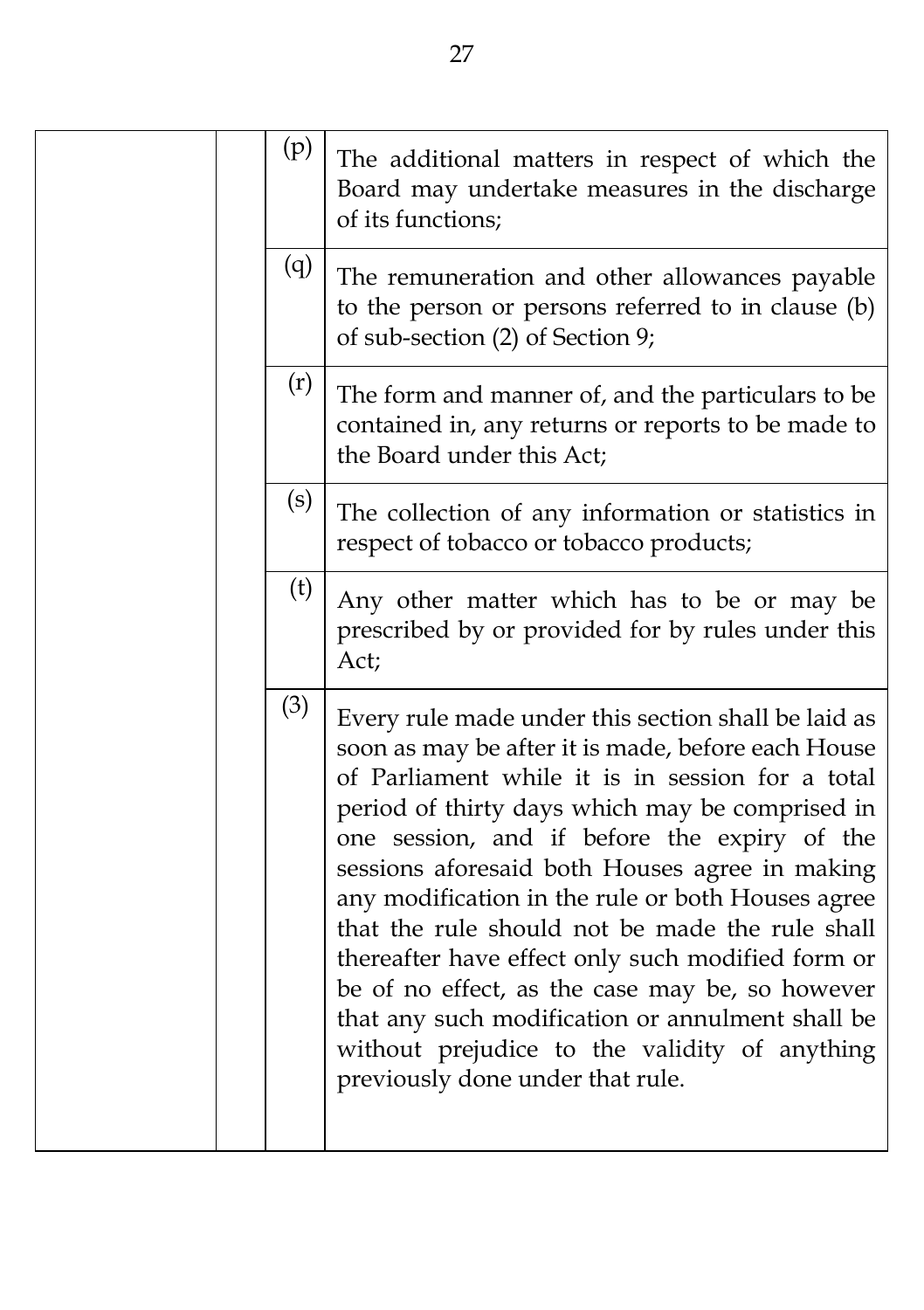| (p) | The additional matters in respect of which the<br>Board may undertake measures in the discharge<br>of its functions;                                                                                                                                                                                                                                                                                                                                                                                                                                                                                                                                                        |
|-----|-----------------------------------------------------------------------------------------------------------------------------------------------------------------------------------------------------------------------------------------------------------------------------------------------------------------------------------------------------------------------------------------------------------------------------------------------------------------------------------------------------------------------------------------------------------------------------------------------------------------------------------------------------------------------------|
| (q) | The remuneration and other allowances payable<br>to the person or persons referred to in clause (b)<br>of sub-section (2) of Section 9;                                                                                                                                                                                                                                                                                                                                                                                                                                                                                                                                     |
| (r) | The form and manner of, and the particulars to be<br>contained in, any returns or reports to be made to<br>the Board under this Act;                                                                                                                                                                                                                                                                                                                                                                                                                                                                                                                                        |
| (s) | The collection of any information or statistics in<br>respect of tobacco or tobacco products;                                                                                                                                                                                                                                                                                                                                                                                                                                                                                                                                                                               |
| (t) | Any other matter which has to be or may be<br>prescribed by or provided for by rules under this<br>Act;                                                                                                                                                                                                                                                                                                                                                                                                                                                                                                                                                                     |
| (3) | Every rule made under this section shall be laid as<br>soon as may be after it is made, before each House<br>of Parliament while it is in session for a total<br>period of thirty days which may be comprised in<br>one session, and if before the expiry of the<br>sessions aforesaid both Houses agree in making<br>any modification in the rule or both Houses agree<br>that the rule should not be made the rule shall<br>thereafter have effect only such modified form or<br>be of no effect, as the case may be, so however<br>that any such modification or annulment shall be<br>without prejudice to the validity of anything<br>previously done under that rule. |
|     |                                                                                                                                                                                                                                                                                                                                                                                                                                                                                                                                                                                                                                                                             |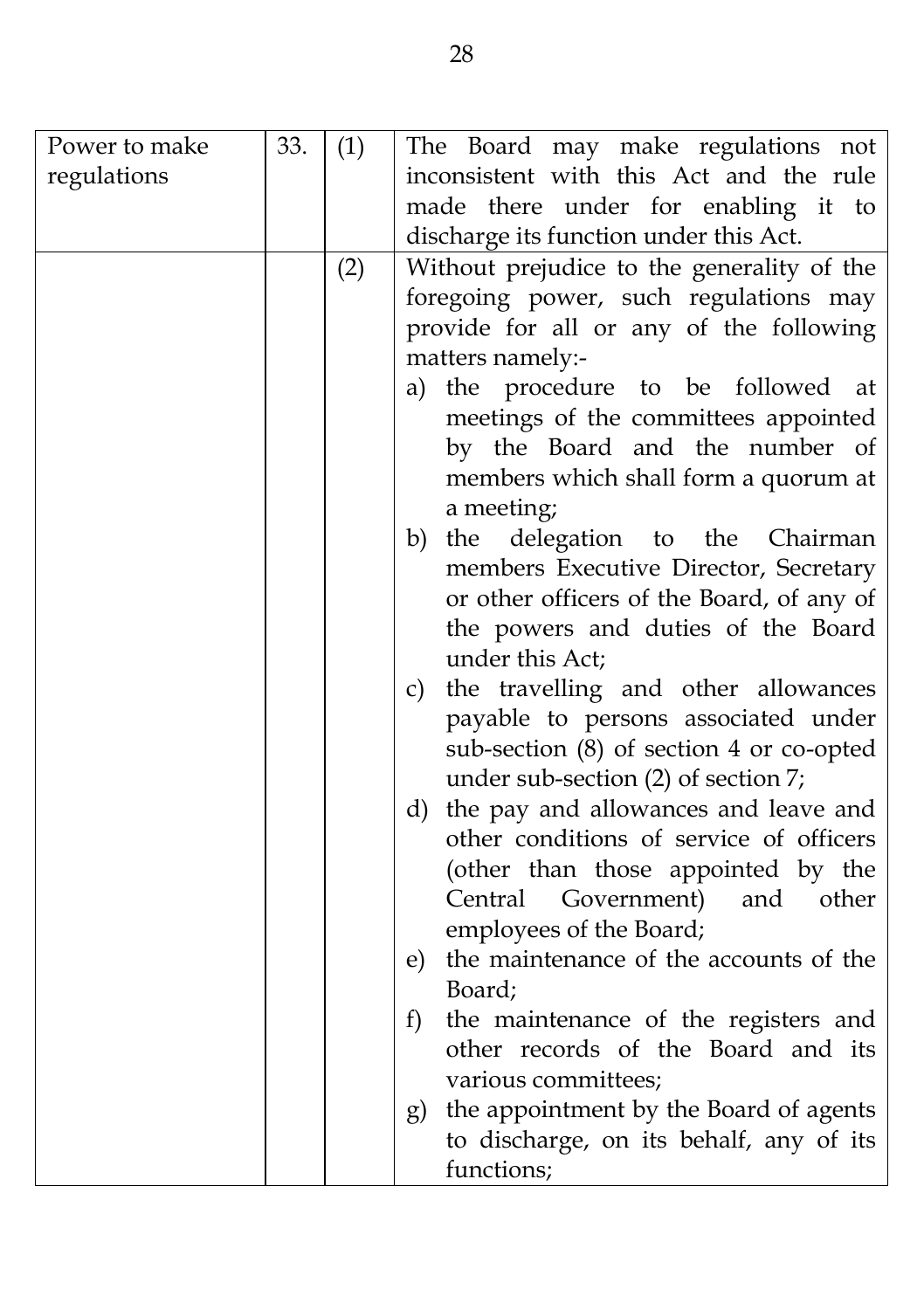| Power to make | 33. | (1) | The Board may make regulations not                                             |
|---------------|-----|-----|--------------------------------------------------------------------------------|
| regulations   |     |     | inconsistent with this Act and the rule                                        |
|               |     |     | made there under for enabling it to                                            |
|               |     |     | discharge its function under this Act.                                         |
|               |     | (2) | Without prejudice to the generality of the                                     |
|               |     |     | foregoing power, such regulations may                                          |
|               |     |     | provide for all or any of the following                                        |
|               |     |     | matters namely:-                                                               |
|               |     |     | the procedure to be<br>followed<br>a)<br>at                                    |
|               |     |     | meetings of the committees appointed                                           |
|               |     |     | by the Board and the number of                                                 |
|               |     |     | members which shall form a quorum at                                           |
|               |     |     | a meeting;                                                                     |
|               |     |     | delegation to the Chairman<br>the<br>b)                                        |
|               |     |     | members Executive Director, Secretary                                          |
|               |     |     | or other officers of the Board, of any of                                      |
|               |     |     | the powers and duties of the Board                                             |
|               |     |     | under this Act;                                                                |
|               |     |     | the travelling and other allowances<br>c)                                      |
|               |     |     | payable to persons associated under                                            |
|               |     |     | sub-section (8) of section 4 or co-opted                                       |
|               |     |     | under sub-section (2) of section 7;<br>d) the pay and allowances and leave and |
|               |     |     | other conditions of service of officers                                        |
|               |     |     | (other than those appointed by the                                             |
|               |     |     | Central Government)<br>and<br>other                                            |
|               |     |     | employees of the Board;                                                        |
|               |     |     | the maintenance of the accounts of the<br>e)                                   |
|               |     |     | Board;                                                                         |
|               |     |     | f)<br>the maintenance of the registers and                                     |
|               |     |     | other records of the Board and its                                             |
|               |     |     | various committees;                                                            |
|               |     |     | the appointment by the Board of agents<br>g)                                   |
|               |     |     | to discharge, on its behalf, any of its                                        |
|               |     |     | functions;                                                                     |